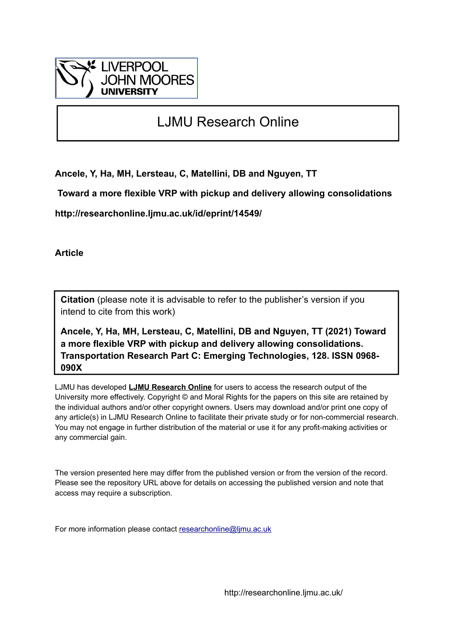

# LJMU Research Online

**Ancele, Y, Ha, MH, Lersteau, C, Matellini, DB and Nguyen, TT**

 **Toward a more flexible VRP with pickup and delivery allowing consolidations**

**http://researchonline.ljmu.ac.uk/id/eprint/14549/**

**Article**

**Citation** (please note it is advisable to refer to the publisher's version if you intend to cite from this work)

**Ancele, Y, Ha, MH, Lersteau, C, Matellini, DB and Nguyen, TT (2021) Toward a more flexible VRP with pickup and delivery allowing consolidations. Transportation Research Part C: Emerging Technologies, 128. ISSN 0968- 090X** 

LJMU has developed **[LJMU Research Online](http://researchonline.ljmu.ac.uk/)** for users to access the research output of the University more effectively. Copyright © and Moral Rights for the papers on this site are retained by the individual authors and/or other copyright owners. Users may download and/or print one copy of any article(s) in LJMU Research Online to facilitate their private study or for non-commercial research. You may not engage in further distribution of the material or use it for any profit-making activities or any commercial gain.

The version presented here may differ from the published version or from the version of the record. Please see the repository URL above for details on accessing the published version and note that access may require a subscription.

For more information please contact [researchonline@ljmu.ac.uk](mailto:researchonline@ljmu.ac.uk)

http://researchonline.ljmu.ac.uk/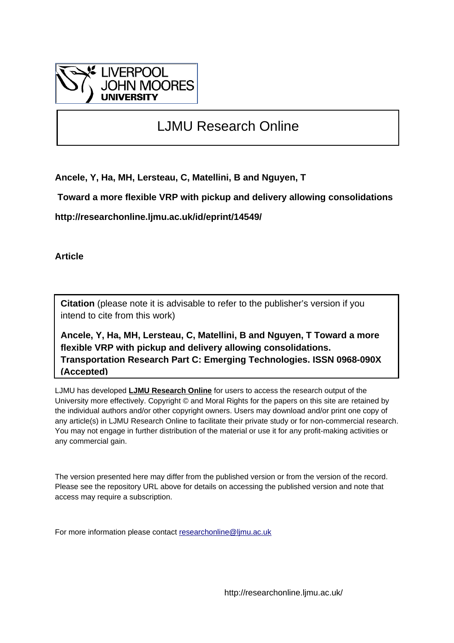

# LJMU Research Online

**Ancele, Y, Ha, MH, Lersteau, C, Matellini, B and Nguyen, T**

 **Toward a more flexible VRP with pickup and delivery allowing consolidations**

**http://researchonline.ljmu.ac.uk/id/eprint/14549/**

**Article**

**Citation** (please note it is advisable to refer to the publisher's version if you intend to cite from this work)

**Ancele, Y, Ha, MH, Lersteau, C, Matellini, B and Nguyen, T Toward a more flexible VRP with pickup and delivery allowing consolidations. Transportation Research Part C: Emerging Technologies. ISSN 0968-090X (Accepted)**

LJMU has developed **[LJMU Research Online](http://researchonline.ljmu.ac.uk/)** for users to access the research output of the University more effectively. Copyright © and Moral Rights for the papers on this site are retained by the individual authors and/or other copyright owners. Users may download and/or print one copy of any article(s) in LJMU Research Online to facilitate their private study or for non-commercial research. You may not engage in further distribution of the material or use it for any profit-making activities or any commercial gain.

The version presented here may differ from the published version or from the version of the record. Please see the repository URL above for details on accessing the published version and note that access may require a subscription.

For more information please contact [researchonline@ljmu.ac.uk](mailto:researchonline@ljmu.ac.uk)

http://researchonline.ljmu.ac.uk/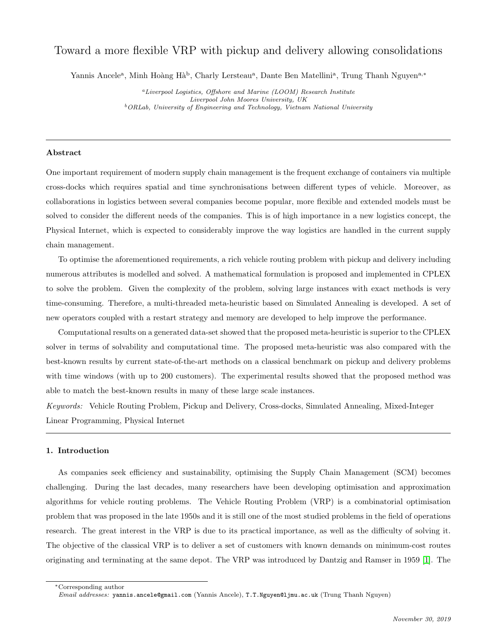## Toward a more flexible VRP with pickup and delivery allowing consolidations

Yannis Ancele<sup>a</sup>, Minh Hoàng Hà<sup>b</sup>, Charly Lersteau<sup>a</sup>, Dante Ben Matellini<sup>a</sup>, Trung Thanh Nguyen<sup>a,\*</sup>

<sup>a</sup>Liverpool Logistics, Offshore and Marine (LOOM) Research Institute Liverpool John Moores University, UK  $b$ <sup>b</sup>ORLab, University of Engineering and Technology, Vietnam National University

## Abstract

One important requirement of modern supply chain management is the frequent exchange of containers via multiple cross-docks which requires spatial and time synchronisations between different types of vehicle. Moreover, as collaborations in logistics between several companies become popular, more flexible and extended models must be solved to consider the different needs of the companies. This is of high importance in a new logistics concept, the Physical Internet, which is expected to considerably improve the way logistics are handled in the current supply chain management.

To optimise the aforementioned requirements, a rich vehicle routing problem with pickup and delivery including numerous attributes is modelled and solved. A mathematical formulation is proposed and implemented in CPLEX to solve the problem. Given the complexity of the problem, solving large instances with exact methods is very time-consuming. Therefore, a multi-threaded meta-heuristic based on Simulated Annealing is developed. A set of new operators coupled with a restart strategy and memory are developed to help improve the performance.

Computational results on a generated data-set showed that the proposed meta-heuristic is superior to the CPLEX solver in terms of solvability and computational time. The proposed meta-heuristic was also compared with the best-known results by current state-of-the-art methods on a classical benchmark on pickup and delivery problems with time windows (with up to 200 customers). The experimental results showed that the proposed method was able to match the best-known results in many of these large scale instances.

Keywords: Vehicle Routing Problem, Pickup and Delivery, Cross-docks, Simulated Annealing, Mixed-Integer Linear Programming, Physical Internet

## 1. Introduction

As companies seek efficiency and sustainability, optimising the Supply Chain Management (SCM) becomes challenging. During the last decades, many researchers have been developing optimisation and approximation algorithms for vehicle routing problems. The Vehicle Routing Problem (VRP) is a combinatorial optimisation problem that was proposed in the late 1950s and it is still one of the most studied problems in the field of operations research. The great interest in the VRP is due to its practical importance, as well as the difficulty of solving it. The objective of the classical VRP is to deliver a set of customers with known demands on minimum-cost routes originating and terminating at the same depot. The VRP was introduced by Dantzig and Ramser in 1959 [\[1\]](#page-22-0). The

<sup>∗</sup>Corresponding author

Email addresses: yannis.ancele@gmail.com (Yannis Ancele), T.T.Nguyen@ljmu.ac.uk (Trung Thanh Nguyen)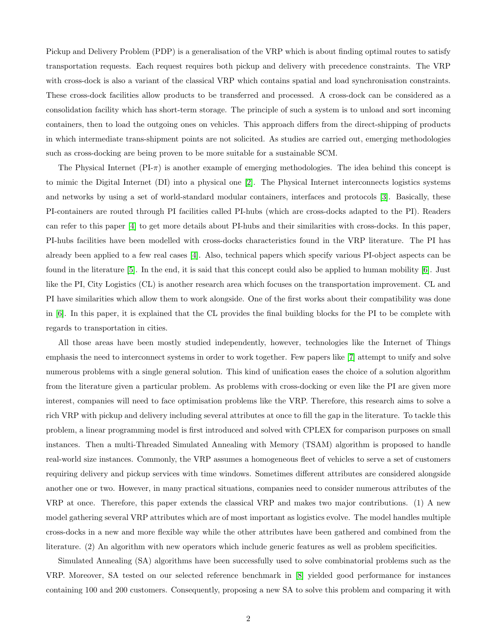Pickup and Delivery Problem (PDP) is a generalisation of the VRP which is about finding optimal routes to satisfy transportation requests. Each request requires both pickup and delivery with precedence constraints. The VRP with cross-dock is also a variant of the classical VRP which contains spatial and load synchronisation constraints. These cross-dock facilities allow products to be transferred and processed. A cross-dock can be considered as a consolidation facility which has short-term storage. The principle of such a system is to unload and sort incoming containers, then to load the outgoing ones on vehicles. This approach differs from the direct-shipping of products in which intermediate trans-shipment points are not solicited. As studies are carried out, emerging methodologies such as cross-docking are being proven to be more suitable for a sustainable SCM.

The Physical Internet  $(PI-\pi)$  is another example of emerging methodologies. The idea behind this concept is to mimic the Digital Internet (DI) into a physical one [\[2\]](#page-22-1). The Physical Internet interconnects logistics systems and networks by using a set of world-standard modular containers, interfaces and protocols [\[3\]](#page-22-2). Basically, these PI-containers are routed through PI facilities called PI-hubs (which are cross-docks adapted to the PI). Readers can refer to this paper [\[4\]](#page-22-3) to get more details about PI-hubs and their similarities with cross-docks. In this paper, PI-hubs facilities have been modelled with cross-docks characteristics found in the VRP literature. The PI has already been applied to a few real cases [\[4\]](#page-22-3). Also, technical papers which specify various PI-object aspects can be found in the literature [\[5\]](#page-23-0). In the end, it is said that this concept could also be applied to human mobility [\[6\]](#page-23-1). Just like the PI, City Logistics (CL) is another research area which focuses on the transportation improvement. CL and PI have similarities which allow them to work alongside. One of the first works about their compatibility was done in [\[6\]](#page-23-1). In this paper, it is explained that the CL provides the final building blocks for the PI to be complete with regards to transportation in cities.

All those areas have been mostly studied independently, however, technologies like the Internet of Things emphasis the need to interconnect systems in order to work together. Few papers like [\[7\]](#page-23-2) attempt to unify and solve numerous problems with a single general solution. This kind of unification eases the choice of a solution algorithm from the literature given a particular problem. As problems with cross-docking or even like the PI are given more interest, companies will need to face optimisation problems like the VRP. Therefore, this research aims to solve a rich VRP with pickup and delivery including several attributes at once to fill the gap in the literature. To tackle this problem, a linear programming model is first introduced and solved with CPLEX for comparison purposes on small instances. Then a multi-Threaded Simulated Annealing with Memory (TSAM) algorithm is proposed to handle real-world size instances. Commonly, the VRP assumes a homogeneous fleet of vehicles to serve a set of customers requiring delivery and pickup services with time windows. Sometimes different attributes are considered alongside another one or two. However, in many practical situations, companies need to consider numerous attributes of the VRP at once. Therefore, this paper extends the classical VRP and makes two major contributions. (1) A new model gathering several VRP attributes which are of most important as logistics evolve. The model handles multiple cross-docks in a new and more flexible way while the other attributes have been gathered and combined from the literature. (2) An algorithm with new operators which include generic features as well as problem specificities.

Simulated Annealing (SA) algorithms have been successfully used to solve combinatorial problems such as the VRP. Moreover, SA tested on our selected reference benchmark in [\[8\]](#page-23-3) yielded good performance for instances containing 100 and 200 customers. Consequently, proposing a new SA to solve this problem and comparing it with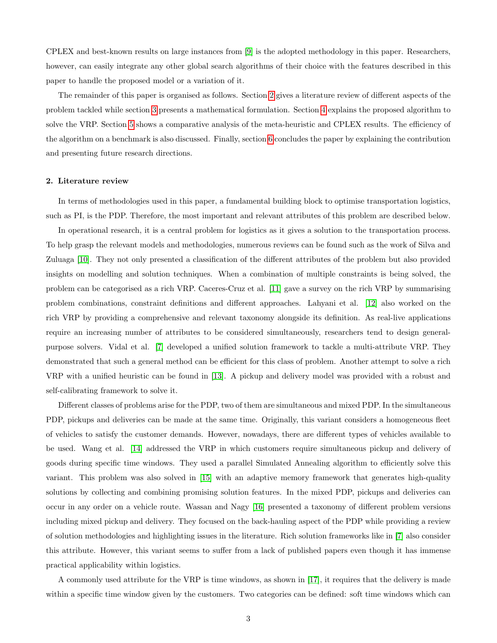CPLEX and best-known results on large instances from [\[9\]](#page-23-4) is the adopted methodology in this paper. Researchers, however, can easily integrate any other global search algorithms of their choice with the features described in this paper to handle the proposed model or a variation of it.

The remainder of this paper is organised as follows. Section [2](#page-4-0) gives a literature review of different aspects of the problem tackled while section [3](#page-6-0) presents a mathematical formulation. Section [4](#page-11-0) explains the proposed algorithm to solve the VRP. Section [5](#page-16-0) shows a comparative analysis of the meta-heuristic and CPLEX results. The efficiency of the algorithm on a benchmark is also discussed. Finally, section [6](#page-22-4) concludes the paper by explaining the contribution and presenting future research directions.

#### <span id="page-4-0"></span>2. Literature review

In terms of methodologies used in this paper, a fundamental building block to optimise transportation logistics, such as PI, is the PDP. Therefore, the most important and relevant attributes of this problem are described below.

In operational research, it is a central problem for logistics as it gives a solution to the transportation process. To help grasp the relevant models and methodologies, numerous reviews can be found such as the work of Silva and Zuluaga [\[10\]](#page-23-5). They not only presented a classification of the different attributes of the problem but also provided insights on modelling and solution techniques. When a combination of multiple constraints is being solved, the problem can be categorised as a rich VRP. Caceres-Cruz et al. [\[11\]](#page-23-6) gave a survey on the rich VRP by summarising problem combinations, constraint definitions and different approaches. Lahyani et al. [\[12\]](#page-23-7) also worked on the rich VRP by providing a comprehensive and relevant taxonomy alongside its definition. As real-live applications require an increasing number of attributes to be considered simultaneously, researchers tend to design generalpurpose solvers. Vidal et al. [\[7\]](#page-23-2) developed a unified solution framework to tackle a multi-attribute VRP. They demonstrated that such a general method can be efficient for this class of problem. Another attempt to solve a rich VRP with a unified heuristic can be found in [\[13\]](#page-23-8). A pickup and delivery model was provided with a robust and self-calibrating framework to solve it.

Different classes of problems arise for the PDP, two of them are simultaneous and mixed PDP. In the simultaneous PDP, pickups and deliveries can be made at the same time. Originally, this variant considers a homogeneous fleet of vehicles to satisfy the customer demands. However, nowadays, there are different types of vehicles available to be used. Wang et al. [\[14\]](#page-23-9) addressed the VRP in which customers require simultaneous pickup and delivery of goods during specific time windows. They used a parallel Simulated Annealing algorithm to efficiently solve this variant. This problem was also solved in [\[15\]](#page-23-10) with an adaptive memory framework that generates high-quality solutions by collecting and combining promising solution features. In the mixed PDP, pickups and deliveries can occur in any order on a vehicle route. Wassan and Nagy [\[16\]](#page-23-11) presented a taxonomy of different problem versions including mixed pickup and delivery. They focused on the back-hauling aspect of the PDP while providing a review of solution methodologies and highlighting issues in the literature. Rich solution frameworks like in [\[7\]](#page-23-2) also consider this attribute. However, this variant seems to suffer from a lack of published papers even though it has immense practical applicability within logistics.

A commonly used attribute for the VRP is time windows, as shown in [\[17\]](#page-24-0), it requires that the delivery is made within a specific time window given by the customers. Two categories can be defined: soft time windows which can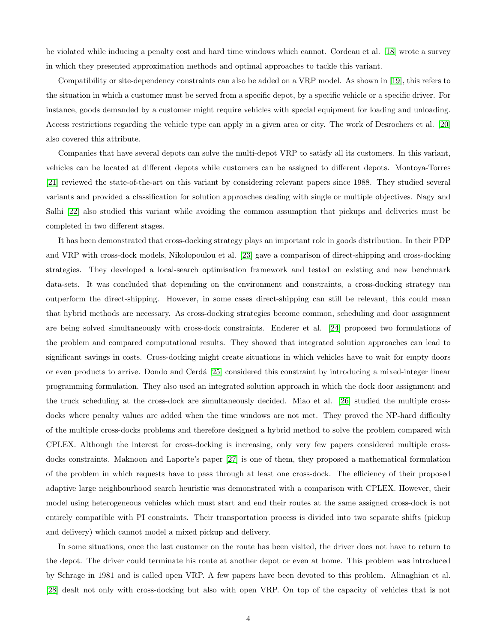be violated while inducing a penalty cost and hard time windows which cannot. Cordeau et al. [\[18\]](#page-24-1) wrote a survey in which they presented approximation methods and optimal approaches to tackle this variant.

Compatibility or site-dependency constraints can also be added on a VRP model. As shown in [\[19\]](#page-24-2), this refers to the situation in which a customer must be served from a specific depot, by a specific vehicle or a specific driver. For instance, goods demanded by a customer might require vehicles with special equipment for loading and unloading. Access restrictions regarding the vehicle type can apply in a given area or city. The work of Desrochers et al. [\[20\]](#page-24-3) also covered this attribute.

Companies that have several depots can solve the multi-depot VRP to satisfy all its customers. In this variant, vehicles can be located at different depots while customers can be assigned to different depots. Montoya-Torres [\[21\]](#page-24-4) reviewed the state-of-the-art on this variant by considering relevant papers since 1988. They studied several variants and provided a classification for solution approaches dealing with single or multiple objectives. Nagy and Salhi [\[22\]](#page-24-5) also studied this variant while avoiding the common assumption that pickups and deliveries must be completed in two different stages.

It has been demonstrated that cross-docking strategy plays an important role in goods distribution. In their PDP and VRP with cross-dock models, Nikolopoulou et al. [\[23\]](#page-24-6) gave a comparison of direct-shipping and cross-docking strategies. They developed a local-search optimisation framework and tested on existing and new benchmark data-sets. It was concluded that depending on the environment and constraints, a cross-docking strategy can outperform the direct-shipping. However, in some cases direct-shipping can still be relevant, this could mean that hybrid methods are necessary. As cross-docking strategies become common, scheduling and door assignment are being solved simultaneously with cross-dock constraints. Enderer et al. [\[24\]](#page-24-7) proposed two formulations of the problem and compared computational results. They showed that integrated solution approaches can lead to significant savings in costs. Cross-docking might create situations in which vehicles have to wait for empty doors or even products to arrive. Dondo and Cerd´a [\[25\]](#page-24-8) considered this constraint by introducing a mixed-integer linear programming formulation. They also used an integrated solution approach in which the dock door assignment and the truck scheduling at the cross-dock are simultaneously decided. Miao et al. [\[26\]](#page-24-9) studied the multiple crossdocks where penalty values are added when the time windows are not met. They proved the NP-hard difficulty of the multiple cross-docks problems and therefore designed a hybrid method to solve the problem compared with CPLEX. Although the interest for cross-docking is increasing, only very few papers considered multiple crossdocks constraints. Maknoon and Laporte's paper [\[27\]](#page-24-10) is one of them, they proposed a mathematical formulation of the problem in which requests have to pass through at least one cross-dock. The efficiency of their proposed adaptive large neighbourhood search heuristic was demonstrated with a comparison with CPLEX. However, their model using heterogeneous vehicles which must start and end their routes at the same assigned cross-dock is not entirely compatible with PI constraints. Their transportation process is divided into two separate shifts (pickup and delivery) which cannot model a mixed pickup and delivery.

In some situations, once the last customer on the route has been visited, the driver does not have to return to the depot. The driver could terminate his route at another depot or even at home. This problem was introduced by Schrage in 1981 and is called open VRP. A few papers have been devoted to this problem. Alinaghian et al. [\[28\]](#page-24-11) dealt not only with cross-docking but also with open VRP. On top of the capacity of vehicles that is not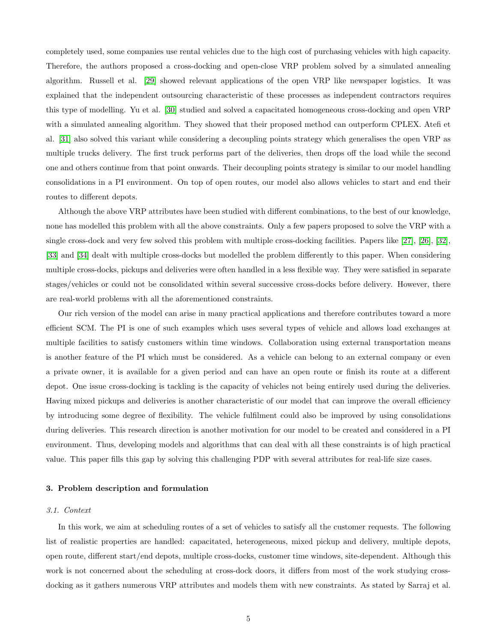completely used, some companies use rental vehicles due to the high cost of purchasing vehicles with high capacity. Therefore, the authors proposed a cross-docking and open-close VRP problem solved by a simulated annealing algorithm. Russell et al. [\[29\]](#page-25-0) showed relevant applications of the open VRP like newspaper logistics. It was explained that the independent outsourcing characteristic of these processes as independent contractors requires this type of modelling. Yu et al. [\[30\]](#page-25-1) studied and solved a capacitated homogeneous cross-docking and open VRP with a simulated annealing algorithm. They showed that their proposed method can outperform CPLEX. Atefi et al. [\[31\]](#page-25-2) also solved this variant while considering a decoupling points strategy which generalises the open VRP as multiple trucks delivery. The first truck performs part of the deliveries, then drops off the load while the second one and others continue from that point onwards. Their decoupling points strategy is similar to our model handling consolidations in a PI environment. On top of open routes, our model also allows vehicles to start and end their routes to different depots.

Although the above VRP attributes have been studied with different combinations, to the best of our knowledge, none has modelled this problem with all the above constraints. Only a few papers proposed to solve the VRP with a single cross-dock and very few solved this problem with multiple cross-docking facilities. Papers like [\[27\]](#page-24-10), [\[26\]](#page-24-9), [\[32\]](#page-25-3), [\[33\]](#page-25-4) and [\[34\]](#page-25-5) dealt with multiple cross-docks but modelled the problem differently to this paper. When considering multiple cross-docks, pickups and deliveries were often handled in a less flexible way. They were satisfied in separate stages/vehicles or could not be consolidated within several successive cross-docks before delivery. However, there are real-world problems with all the aforementioned constraints.

Our rich version of the model can arise in many practical applications and therefore contributes toward a more efficient SCM. The PI is one of such examples which uses several types of vehicle and allows load exchanges at multiple facilities to satisfy customers within time windows. Collaboration using external transportation means is another feature of the PI which must be considered. As a vehicle can belong to an external company or even a private owner, it is available for a given period and can have an open route or finish its route at a different depot. One issue cross-docking is tackling is the capacity of vehicles not being entirely used during the deliveries. Having mixed pickups and deliveries is another characteristic of our model that can improve the overall efficiency by introducing some degree of flexibility. The vehicle fulfilment could also be improved by using consolidations during deliveries. This research direction is another motivation for our model to be created and considered in a PI environment. Thus, developing models and algorithms that can deal with all these constraints is of high practical value. This paper fills this gap by solving this challenging PDP with several attributes for real-life size cases.

#### <span id="page-6-0"></span>3. Problem description and formulation

## 3.1. Context

In this work, we aim at scheduling routes of a set of vehicles to satisfy all the customer requests. The following list of realistic properties are handled: capacitated, heterogeneous, mixed pickup and delivery, multiple depots, open route, different start/end depots, multiple cross-docks, customer time windows, site-dependent. Although this work is not concerned about the scheduling at cross-dock doors, it differs from most of the work studying crossdocking as it gathers numerous VRP attributes and models them with new constraints. As stated by Sarraj et al.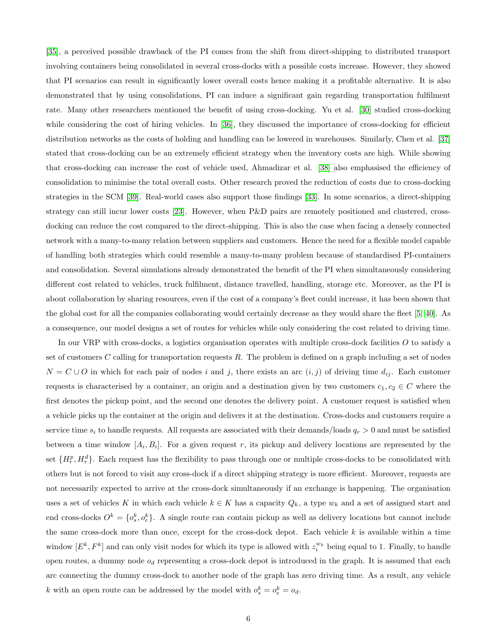[\[35\]](#page-25-6), a perceived possible drawback of the PI comes from the shift from direct-shipping to distributed transport involving containers being consolidated in several cross-docks with a possible costs increase. However, they showed that PI scenarios can result in significantly lower overall costs hence making it a profitable alternative. It is also demonstrated that by using consolidations, PI can induce a significant gain regarding transportation fulfilment rate. Many other researchers mentioned the benefit of using cross-docking. Yu et al. [\[30\]](#page-25-1) studied cross-docking while considering the cost of hiring vehicles. In [\[36\]](#page-25-7), they discussed the importance of cross-docking for efficient distribution networks as the costs of holding and handling can be lowered in warehouses. Similarly, Chen et al. [\[37\]](#page-25-8) stated that cross-docking can be an extremely efficient strategy when the inventory costs are high. While showing that cross-docking can increase the cost of vehicle used, Ahmadizar et al. [\[38\]](#page-25-9) also emphasised the efficiency of consolidation to minimise the total overall costs. Other research proved the reduction of costs due to cross-docking strategies in the SCM [\[39\]](#page-26-0). Real-world cases also support those findings [\[33\]](#page-25-4). In some scenarios, a direct-shipping strategy can still incur lower costs [\[23\]](#page-24-6). However, when P&D pairs are remotely positioned and clustered, crossdocking can reduce the cost compared to the direct-shipping. This is also the case when facing a densely connected network with a many-to-many relation between suppliers and customers. Hence the need for a flexible model capable of handling both strategies which could resemble a many-to-many problem because of standardised PI-containers and consolidation. Several simulations already demonstrated the benefit of the PI when simultaneously considering different cost related to vehicles, truck fulfilment, distance travelled, handling, storage etc. Moreover, as the PI is about collaboration by sharing resources, even if the cost of a company's fleet could increase, it has been shown that the global cost for all the companies collaborating would certainly decrease as they would share the fleet [\[5,](#page-23-0) [40\]](#page-26-1). As a consequence, our model designs a set of routes for vehicles while only considering the cost related to driving time.

In our VRP with cross-docks, a logistics organisation operates with multiple cross-dock facilities  $O$  to satisfy a set of customers C calling for transportation requests  $R$ . The problem is defined on a graph including a set of nodes  $N = C \cup O$  in which for each pair of nodes i and j, there exists an arc  $(i, j)$  of driving time  $d_{ij}$ . Each customer requests is characterised by a container, an origin and a destination given by two customers  $c_1, c_2 \in C$  where the first denotes the pickup point, and the second one denotes the delivery point. A customer request is satisfied when a vehicle picks up the container at the origin and delivers it at the destination. Cross-docks and customers require a service time  $s_i$  to handle requests. All requests are associated with their demands/loads  $q_r > 0$  and must be satisfied between a time window  $[A_i, B_i]$ . For a given request r, its pickup and delivery locations are represented by the set  $\{H_r^p, H_r^d\}$ . Each request has the flexibility to pass through one or multiple cross-docks to be consolidated with others but is not forced to visit any cross-dock if a direct shipping strategy is more efficient. Moreover, requests are not necessarily expected to arrive at the cross-dock simultaneously if an exchange is happening. The organisation uses a set of vehicles K in which each vehicle  $k \in K$  has a capacity  $Q_k$ , a type  $w_k$  and a set of assigned start and end cross-docks  $O^k = \{o_s^k, o_e^k\}$ . A single route can contain pickup as well as delivery locations but cannot include the same cross-dock more than once, except for the cross-dock depot. Each vehicle  $k$  is available within a time window  $[E^k, F^k]$  and can only visit nodes for which its type is allowed with  $z_i^{w_k}$  being equal to 1. Finally, to handle open routes, a dummy node  $o_d$  representing a cross-dock depot is introduced in the graph. It is assumed that each arc connecting the dummy cross-dock to another node of the graph has zero driving time. As a result, any vehicle k with an open route can be addressed by the model with  $o_s^k = o_e^k = o_d$ .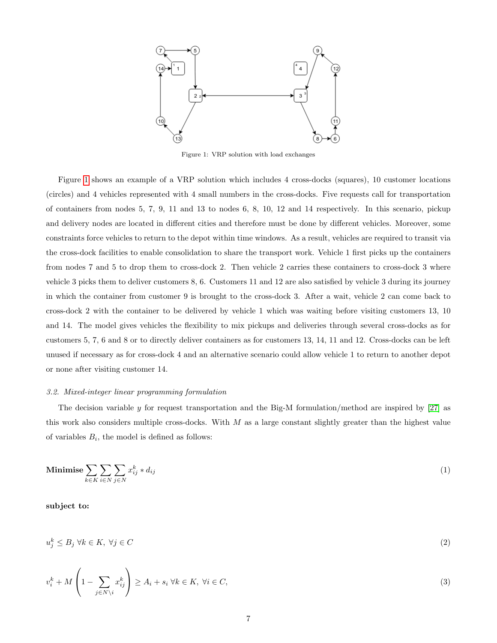<span id="page-8-0"></span>

Figure 1: VRP solution with load exchanges

Figure [1](#page-8-0) shows an example of a VRP solution which includes 4 cross-docks (squares), 10 customer locations (circles) and 4 vehicles represented with 4 small numbers in the cross-docks. Five requests call for transportation of containers from nodes 5, 7, 9, 11 and 13 to nodes 6, 8, 10, 12 and 14 respectively. In this scenario, pickup and delivery nodes are located in different cities and therefore must be done by different vehicles. Moreover, some constraints force vehicles to return to the depot within time windows. As a result, vehicles are required to transit via the cross-dock facilities to enable consolidation to share the transport work. Vehicle 1 first picks up the containers from nodes 7 and 5 to drop them to cross-dock 2. Then vehicle 2 carries these containers to cross-dock 3 where vehicle 3 picks them to deliver customers 8, 6. Customers 11 and 12 are also satisfied by vehicle 3 during its journey in which the container from customer 9 is brought to the cross-dock 3. After a wait, vehicle 2 can come back to cross-dock 2 with the container to be delivered by vehicle 1 which was waiting before visiting customers 13, 10 and 14. The model gives vehicles the flexibility to mix pickups and deliveries through several cross-docks as for customers 5, 7, 6 and 8 or to directly deliver containers as for customers 13, 14, 11 and 12. Cross-docks can be left unused if necessary as for cross-dock 4 and an alternative scenario could allow vehicle 1 to return to another depot or none after visiting customer 14.

## 3.2. Mixed-integer linear programming formulation

The decision variable y for request transportation and the Big-M formulation/method are inspired by [\[27\]](#page-24-10) as this work also considers multiple cross-docks. With  $M$  as a large constant slightly greater than the highest value of variables  $B_i$ , the model is defined as follows:

<span id="page-8-1"></span>Minimise 
$$
\sum_{k \in K} \sum_{i \in N} \sum_{j \in N} x_{ij}^k * d_{ij}
$$
 (1)

<span id="page-8-2"></span>subject to:

$$
u_j^k \le B_j \ \forall k \in K, \ \forall j \in C
$$
\n
$$
(2)
$$

<span id="page-8-3"></span>
$$
v_i^k + M\left(1 - \sum_{j \in N \setminus i} x_{ij}^k\right) \ge A_i + s_i \ \forall k \in K, \ \forall i \in C,
$$
\n
$$
(3)
$$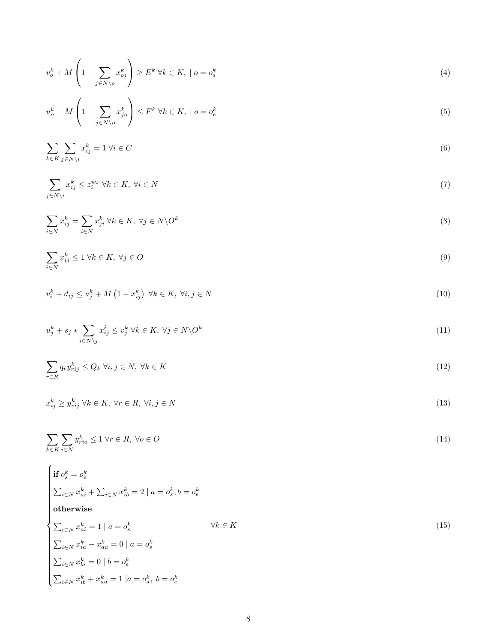<span id="page-9-0"></span>
$$
v_o^k + M\left(1 - \sum_{j \in N \setminus o} x_{oj}^k\right) \ge E^k \ \forall k \in K, \ | \ o = o_s^k \tag{4}
$$

<span id="page-9-1"></span>
$$
u_o^k - M\left(1 - \sum_{j \in N \setminus o} x_{jo}^k\right) \le F^k \ \forall k \in K, \ | \ o = o_e^k \tag{5}
$$

<span id="page-9-2"></span>
$$
\sum_{k \in K} \sum_{j \in N \setminus i} x_{ij}^k = 1 \ \forall i \in C
$$
\n
$$
(6)
$$

<span id="page-9-3"></span>
$$
\sum_{j \in N \setminus i} x_{ij}^k \le z_i^{w_k} \ \forall k \in K, \ \forall i \in N
$$
\n
$$
(7)
$$

<span id="page-9-4"></span>
$$
\sum_{i \in N} x_{ij}^k = \sum_{i \in N} x_{ji}^k \ \forall k \in K, \ \forall j \in N \backslash O^k \tag{8}
$$

<span id="page-9-5"></span>
$$
\sum_{i \in N} x_{ij}^k \le 1 \ \forall k \in K, \ \forall j \in O \tag{9}
$$

<span id="page-9-6"></span>
$$
v_i^k + d_{ij} \le u_j^k + M\left(1 - x_{ij}^k\right) \ \forall k \in K, \ \forall i, j \in N
$$
\n
$$
(10)
$$

<span id="page-9-7"></span>
$$
u_j^k + s_j * \sum_{i \in N \setminus j} x_{ij}^k \le v_j^k \ \forall k \in K, \ \forall j \in N \setminus O^k \tag{11}
$$

<span id="page-9-8"></span>
$$
\sum_{r \in R} q_r y_{rij}^k \le Q_k \ \forall i, j \in N, \ \forall k \in K
$$
\n
$$
(12)
$$

<span id="page-9-9"></span>
$$
x_{ij}^k \ge y_{rij}^k \ \forall k \in K, \ \forall r \in R, \ \forall i, j \in N
$$
\n
$$
(13)
$$

<span id="page-9-10"></span>
$$
\sum_{k \in K} \sum_{i \in N} y_{rio}^k \le 1 \,\forall r \in R, \,\forall o \in O \tag{14}
$$

<span id="page-9-11"></span>
$$
\begin{cases}\n\text{if } o_s^k = o_e^k \\
\sum_{i \in N} x_{ai}^k + \sum_{i \in N} x_{ib}^k = 2 \mid a = o_s^k, b = o_e^k \\
\text{otherwise} \\
\sum_{i \in N} x_{ai}^k = 1 \mid a = o_s^k \qquad \qquad \forall k \in K \\
\sum_{i \in N} x_{ia}^k - x_{aa}^k = 0 \mid a = o_s^k \\
\sum_{i \in N} x_{bi}^k = 0 \mid b = o_e^k \\
\sum_{i \in N} x_{ib}^k + x_{aa}^k = 1 \mid a = o_s^k, b = o_e^k\n\end{cases}
$$
\n(15)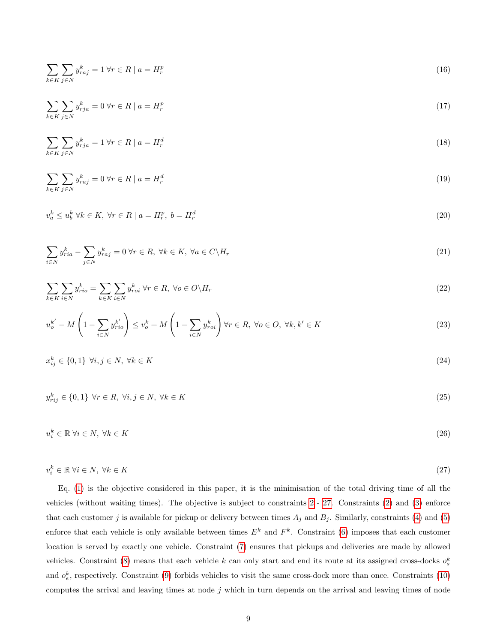<span id="page-10-1"></span>
$$
\sum_{k \in K} \sum_{j \in N} y_{raj}^k = 1 \,\forall r \in R \mid a = H_r^p \tag{16}
$$

$$
\sum_{k \in K} \sum_{j \in N} y_{rja}^k = 0 \,\forall r \in R \mid a = H_r^p \tag{17}
$$

$$
\sum_{k \in K} \sum_{j \in N} y_{rja}^k = 1 \,\forall r \in R \mid a = H_r^d \tag{18}
$$

<span id="page-10-2"></span>
$$
\sum_{k \in K} \sum_{j \in N} y_{raj}^k = 0 \,\forall r \in R \mid a = H_r^d \tag{19}
$$

<span id="page-10-3"></span>
$$
v_a^k \le u_b^k \ \forall k \in K, \ \forall r \in R \mid a = H_r^p, \ b = H_r^d \tag{20}
$$

<span id="page-10-4"></span>
$$
\sum_{i \in N} y_{ria}^k - \sum_{j \in N} y_{raj}^k = 0 \,\forall r \in R, \,\forall k \in K, \,\forall a \in C \setminus H_r \tag{21}
$$

<span id="page-10-5"></span>
$$
\sum_{k \in K} \sum_{i \in N} y_{rio}^k = \sum_{k \in K} \sum_{i \in N} y_{roi}^k \,\forall r \in R, \,\forall o \in O \backslash H_r \tag{22}
$$

<span id="page-10-6"></span>
$$
u_o^{k'} - M\left(1 - \sum_{i \in N} y_{rio}^{k'}\right) \le v_o^k + M\left(1 - \sum_{i \in N} y_{roi}^k\right) \forall r \in R, \ \forall o \in O, \ \forall k, k' \in K
$$
\n
$$
(23)
$$

<span id="page-10-7"></span>
$$
x_{ij}^k \in \{0, 1\} \ \forall i, j \in N, \ \forall k \in K \tag{24}
$$

<span id="page-10-8"></span>
$$
y_{rij}^{k} \in \{0, 1\} \ \forall r \in R, \ \forall i, j \in N, \ \forall k \in K
$$
\n
$$
(25)
$$

<span id="page-10-9"></span> $u_i^k \in \mathbb{R} \ \forall i \in N, \ \forall k \in K$ (26)

<span id="page-10-0"></span>
$$
v_i^k \in \mathbb{R} \,\forall i \in N, \,\forall k \in K \tag{27}
$$

Eq. [\(1\)](#page-8-1) is the objective considered in this paper, it is the minimisation of the total driving time of all the vehicles (without waiting times). The objective is subject to constraints [2](#page-8-2) - [27.](#page-10-0) Constraints [\(2\)](#page-8-2) and [\(3\)](#page-8-3) enforce that each customer j is available for pickup or delivery between times  $A_j$  and  $B_j$ . Similarly, constraints [\(4\)](#page-9-0) and [\(5\)](#page-9-1) enforce that each vehicle is only available between times  $E^k$  and  $F^k$ . Constraint [\(6\)](#page-9-2) imposes that each customer location is served by exactly one vehicle. Constraint [\(7\)](#page-9-3) ensures that pickups and deliveries are made by allowed vehicles. Constraint [\(8\)](#page-9-4) means that each vehicle k can only start and end its route at its assigned cross-docks  $o_s^k$ and  $o_e^k$ , respectively. Constraint [\(9\)](#page-9-5) forbids vehicles to visit the same cross-dock more than once. Constraints [\(10\)](#page-9-6) computes the arrival and leaving times at node  $j$  which in turn depends on the arrival and leaving times of node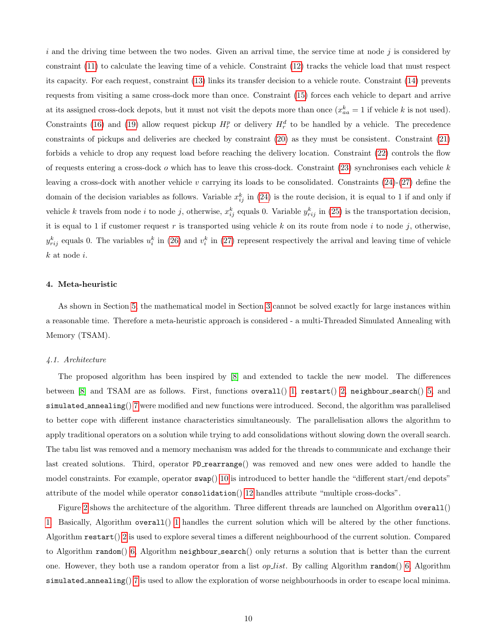i and the driving time between the two nodes. Given an arrival time, the service time at node j is considered by constraint [\(11\)](#page-9-7) to calculate the leaving time of a vehicle. Constraint [\(12\)](#page-9-8) tracks the vehicle load that must respect its capacity. For each request, constraint [\(13\)](#page-9-9) links its transfer decision to a vehicle route. Constraint [\(14\)](#page-9-10) prevents requests from visiting a same cross-dock more than once. Constraint [\(15\)](#page-9-11) forces each vehicle to depart and arrive at its assigned cross-dock depots, but it must not visit the depots more than once  $(x_{aa}^k = 1$  if vehicle k is not used). Constraints [\(16\)](#page-10-1) and [\(19\)](#page-10-2) allow request pickup  $H_r^p$  or delivery  $H_r^d$  to be handled by a vehicle. The precedence constraints of pickups and deliveries are checked by constraint [\(20\)](#page-10-3) as they must be consistent. Constraint [\(21\)](#page-10-4) forbids a vehicle to drop any request load before reaching the delivery location. Constraint [\(22\)](#page-10-5) controls the flow of requests entering a cross-dock  $o$  which has to leave this cross-dock. Constraint  $(23)$  synchronises each vehicle  $k$ leaving a cross-dock with another vehicle v carrying its loads to be consolidated. Constraints  $(24)-(27)$  $(24)-(27)$  $(24)-(27)$  define the domain of the decision variables as follows. Variable  $x_{ij}^k$  in [\(24\)](#page-10-7) is the route decision, it is equal to 1 if and only if vehicle k travels from node i to node j, otherwise,  $x_{ij}^k$  equals 0. Variable  $y_{rij}^k$  in [\(25\)](#page-10-8) is the transportation decision, it is equal to 1 if customer request r is transported using vehicle k on its route from node i to node j, otherwise,  $y_{rij}^k$  equals 0. The variables  $u_i^k$  in [\(26\)](#page-10-9) and  $v_i^k$  in [\(27\)](#page-10-0) represent respectively the arrival and leaving time of vehicle  $k$  at node  $i$ .

#### <span id="page-11-0"></span>4. Meta-heuristic

As shown in Section [5,](#page-16-0) the mathematical model in Section [3](#page-6-0) cannot be solved exactly for large instances within a reasonable time. Therefore a meta-heuristic approach is considered - a multi-Threaded Simulated Annealing with Memory (TSAM).

## 4.1. Architecture

The proposed algorithm has been inspired by [\[8\]](#page-23-3) and extended to tackle the new model. The differences between  $[8]$  and TSAM are as follows. First, functions overall  $()$  [1,](#page-13-0) restart $()$  [2,](#page-14-0) neighbour search $()$  [5,](#page-26-2) and simulated annealing() [7](#page-27-0) were modified and new functions were introduced. Second, the algorithm was parallelised to better cope with different instance characteristics simultaneously. The parallelisation allows the algorithm to apply traditional operators on a solution while trying to add consolidations without slowing down the overall search. The tabu list was removed and a memory mechanism was added for the threads to communicate and exchange their last created solutions. Third, operator PD rearrange () was removed and new ones were added to handle the model constraints. For example, operator  $\mathsf{swap}($ ) [10](#page-28-0) is introduced to better handle the "different start/end depots" attribute of the model while operator consolidation() [12](#page-30-0) handles attribute "multiple cross-docks".

Figure [2](#page-12-0) shows the architecture of the algorithm. Three different threads are launched on Algorithm overall() [1.](#page-13-0) Basically, Algorithm overall() [1](#page-13-0) handles the current solution which will be altered by the other functions. Algorithm  $\texttt{restart}()$  [2](#page-14-0) is used to explore several times a different neighbourhood of the current solution. Compared to Algorithm random() [6,](#page-27-1) Algorithm neighbour search() only returns a solution that is better than the current one. However, they both use a random operator from a list *op list*. By calling Algorithm random() [6,](#page-27-1) Algorithm simulated annealing() [7](#page-27-0) is used to allow the exploration of worse neighbourhoods in order to escape local minima.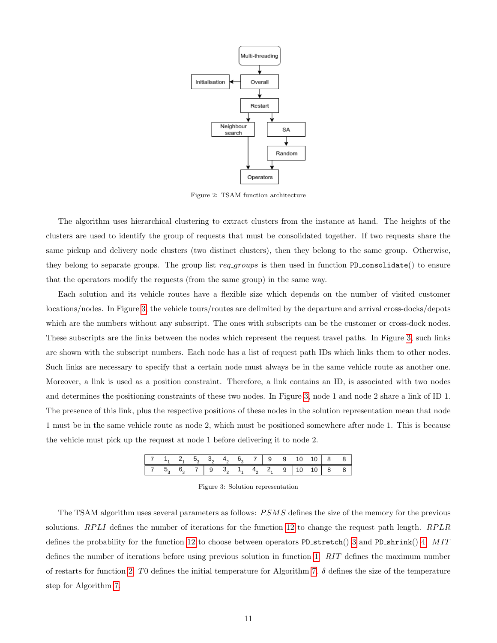<span id="page-12-0"></span>

Figure 2: TSAM function architecture

The algorithm uses hierarchical clustering to extract clusters from the instance at hand. The heights of the clusters are used to identify the group of requests that must be consolidated together. If two requests share the same pickup and delivery node clusters (two distinct clusters), then they belong to the same group. Otherwise, they belong to separate groups. The group list  $req_{groups}$  is then used in function PD consolidate() to ensure that the operators modify the requests (from the same group) in the same way.

Each solution and its vehicle routes have a flexible size which depends on the number of visited customer locations/nodes. In Figure [3,](#page-12-1) the vehicle tours/routes are delimited by the departure and arrival cross-docks/depots which are the numbers without any subscript. The ones with subscripts can be the customer or cross-dock nodes. These subscripts are the links between the nodes which represent the request travel paths. In Figure [3,](#page-12-1) such links are shown with the subscript numbers. Each node has a list of request path IDs which links them to other nodes. Such links are necessary to specify that a certain node must always be in the same vehicle route as another one. Moreover, a link is used as a position constraint. Therefore, a link contains an ID, is associated with two nodes and determines the positioning constraints of these two nodes. In Figure [3,](#page-12-1) node 1 and node 2 share a link of ID 1. The presence of this link, plus the respective positions of these nodes in the solution representation mean that node 1 must be in the same vehicle route as node 2, which must be positioned somewhere after node 1. This is because the vehicle must pick up the request at node 1 before delivering it to node 2.

Figure 3: Solution representation

<span id="page-12-1"></span>The TSAM algorithm uses several parameters as follows: PSMS defines the size of the memory for the previous solutions. RPLI defines the number of iterations for the function [12](#page-30-0) to change the request path length. RPLR defines the probability for the function [12](#page-30-0) to choose between operators PD stretch() [3](#page-15-0) and PD shrink() [4.](#page-16-1) MIT defines the number of iterations before using previous solution in function [1.](#page-13-0) RIT defines the maximum number of restarts for function [2.](#page-14-0) T0 defines the initial temperature for Algorithm [7.](#page-27-0)  $\delta$  defines the size of the temperature step for Algorithm [7.](#page-27-0)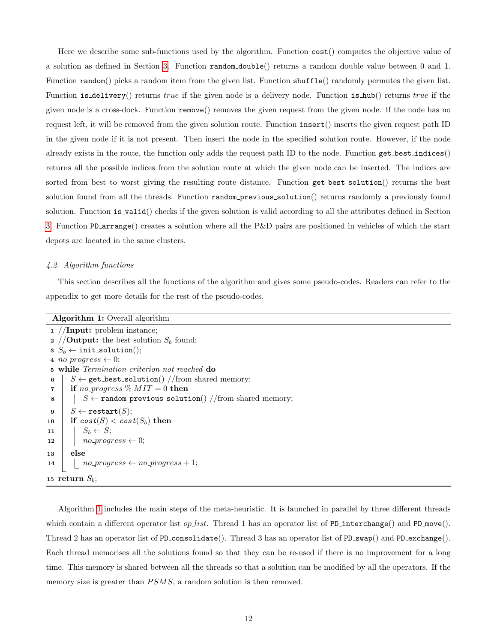Here we describe some sub-functions used by the algorithm. Function cost() computes the objective value of a solution as defined in Section [3.](#page-6-0) Function random double() returns a random double value between 0 and 1. Function random() picks a random item from the given list. Function shuffle() randomly permutes the given list. Function is delivery() returns true if the given node is a delivery node. Function is hub() returns true if the given node is a cross-dock. Function remove() removes the given request from the given node. If the node has no request left, it will be removed from the given solution route. Function insert() inserts the given request path ID in the given node if it is not present. Then insert the node in the specified solution route. However, if the node already exists in the route, the function only adds the request path ID to the node. Function get best indices() returns all the possible indices from the solution route at which the given node can be inserted. The indices are sorted from best to worst giving the resulting route distance. Function get best solution() returns the best solution found from all the threads. Function random previous solution() returns randomly a previously found solution. Function is valid() checks if the given solution is valid according to all the attributes defined in Section [3.](#page-6-0) Function PD arrange() creates a solution where all the P&D pairs are positioned in vehicles of which the start depots are located in the same clusters.

#### 4.2. Algorithm functions

This section describes all the functions of the algorithm and gives some pseudo-codes. Readers can refer to the appendix to get more details for the rest of the pseudo-codes.

<span id="page-13-4"></span><span id="page-13-3"></span><span id="page-13-2"></span><span id="page-13-1"></span>

| <b>Algorithm 1:</b> Overall algorithm                                           |  |  |  |  |  |  |
|---------------------------------------------------------------------------------|--|--|--|--|--|--|
| $1$ //Input: problem instance;                                                  |  |  |  |  |  |  |
| 2 // <b>Output:</b> the best solution $S_b$ found;                              |  |  |  |  |  |  |
| $3 S_b \leftarrow \texttt{init\_solution}();$                                   |  |  |  |  |  |  |
| 4 <i>no-progress</i> $\leftarrow$ 0;                                            |  |  |  |  |  |  |
| <b>5</b> while <i>Termination criterion not reached</i> do                      |  |  |  |  |  |  |
| $S \leftarrow$ get_best_solution() //from shared memory;<br>6                   |  |  |  |  |  |  |
| if no_progress $\%$ MIT = 0 then<br>$\overline{7}$                              |  |  |  |  |  |  |
| $S \leftarrow \texttt{random\_previous\_solution}()$ //from shared memory;<br>8 |  |  |  |  |  |  |
| $S \leftarrow \texttt{restart}(S);$<br>9                                        |  |  |  |  |  |  |
| if $cost(S) < cost(S_b)$ then<br>10                                             |  |  |  |  |  |  |
| $S_b \leftarrow S;$<br>11                                                       |  |  |  |  |  |  |
| $no\_progress \leftarrow 0;$<br>12                                              |  |  |  |  |  |  |
| else<br>13                                                                      |  |  |  |  |  |  |
| $no\_progress \leftarrow no\_progress + 1;$<br>14                               |  |  |  |  |  |  |
| 15 return $S_b$ ;                                                               |  |  |  |  |  |  |

<span id="page-13-0"></span>Algorithm [1](#page-13-0) includes the main steps of the meta-heuristic. It is launched in parallel by three different threads which contain a different operator list op list. Thread 1 has an operator list of PD interchange() and PD move(). Thread 2 has an operator list of PD consolidate(). Thread 3 has an operator list of PD swap() and PD exchange(). Each thread memorises all the solutions found so that they can be re-used if there is no improvement for a long time. This memory is shared between all the threads so that a solution can be modified by all the operators. If the memory size is greater than  $PSMS$ , a random solution is then removed.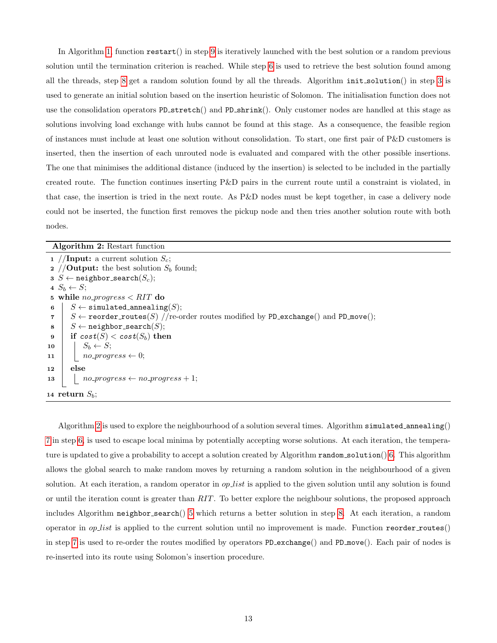In Algorithm [1,](#page-13-0) function restart() in step [9](#page-13-1) is iteratively launched with the best solution or a random previous solution until the termination criterion is reached. While step [6](#page-13-2) is used to retrieve the best solution found among all the threads, step [8](#page-13-3) get a random solution found by all the threads. Algorithm init solution() in step [3](#page-13-4) is used to generate an initial solution based on the insertion heuristic of Solomon. The initialisation function does not use the consolidation operators PD stretch() and PD shrink(). Only customer nodes are handled at this stage as solutions involving load exchange with hubs cannot be found at this stage. As a consequence, the feasible region of instances must include at least one solution without consolidation. To start, one first pair of P&D customers is inserted, then the insertion of each unrouted node is evaluated and compared with the other possible insertions. The one that minimises the additional distance (induced by the insertion) is selected to be included in the partially created route. The function continues inserting P&D pairs in the current route until a constraint is violated, in that case, the insertion is tried in the next route. As P&D nodes must be kept together, in case a delivery node could not be inserted, the function first removes the pickup node and then tries another solution route with both nodes.

## Algorithm 2: Restart function

<span id="page-14-3"></span><span id="page-14-2"></span><span id="page-14-1"></span>

| 1 // <b>Input:</b> a current solution $S_c$ ;                                                                 |
|---------------------------------------------------------------------------------------------------------------|
| 2 // <b>Output:</b> the best solution $S_b$ found;                                                            |
| $s \ S \leftarrow \texttt{neighbor\_search}(S_c);$                                                            |
| $4 S_b \leftarrow S$                                                                                          |
| 5 while <i>no_progress</i> $\langle RIT$ do                                                                   |
| $S \leftarrow$ simulated_annealing(S);<br>6                                                                   |
| $S \leftarrow$ reorder_routes(S) //re-order routes modified by PD_exchange() and PD_move();<br>$\overline{7}$ |
| $S \leftarrow$ neighbor_search(S);<br>8                                                                       |
| if $cost(S) < cost(S_b)$ then<br>- 9                                                                          |
| $S_b \leftarrow S;$<br>10                                                                                     |
| $no\_progress \leftarrow 0;$<br>11                                                                            |
| else<br>12                                                                                                    |
| $no\_progress \leftarrow no\_progress + 1;$<br>13                                                             |
| 14 return $S_h$ ;                                                                                             |

<span id="page-14-0"></span>Algorithm [2](#page-14-0) is used to explore the neighbourhood of a solution several times. Algorithm simulated annealing() [7](#page-27-0) in step [6,](#page-14-1) is used to escape local minima by potentially accepting worse solutions. At each iteration, the temperature is updated to give a probability to accept a solution created by Algorithm random solution() [6.](#page-27-1) This algorithm allows the global search to make random moves by returning a random solution in the neighbourhood of a given solution. At each iteration, a random operator in *op list* is applied to the given solution until any solution is found or until the iteration count is greater than  $RIT$ . To better explore the neighbour solutions, the proposed approach includes Algorithm neighbor search() [5](#page-26-2) which returns a better solution in step [8.](#page-14-2) At each iteration, a random operator in  $opList$  is applied to the current solution until no improvement is made. Function reorder routes() in step [7](#page-14-3) is used to re-order the routes modified by operators PD exchange() and PD move(). Each pair of nodes is re-inserted into its route using Solomon's insertion procedure.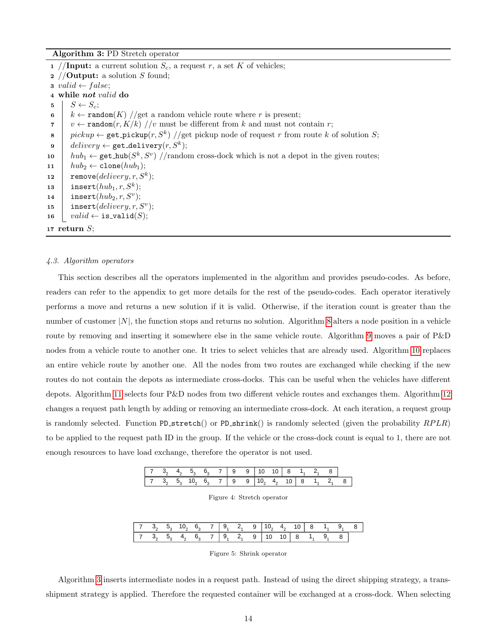Algorithm 3: PD Stretch operator

1 //Input: a current solution  $S_c$ , a request r, a set K of vehicles; 2 //**Output:** a solution S found; 3 valid  $\leftarrow false;$ 4 while not valid do  $5 \mid S \leftarrow S_c$ ; 6 k ← random(K) //get a random vehicle route where r is present; 7 v ← random $(r, K/k)$  //v must be different from k and must not contain r; 8 pickup  $\leftarrow$  get\_pickup(r, S<sup>k</sup>) //get pickup node of request r from route k of solution S;  $\mathsf{9}\quad\quad$  delivery  $\leftarrow$  get\_delivery $(r,S^k);$ 10  $\int h u b_1 \leftarrow \text{get hub}(S^k, S^v)$  //random cross-dock which is not a depot in the given routes; 11  $\vert h u b_2 \leftarrow \texttt{clone}(h u b_1);$ 12 | remove $(delivery, r, S^k);$ 13 | insert $(hub_1, r, S^k);$ 14 | insert $(hub_2, r, S^v);$ 15 | insert $(delivery, r, S^v);$ 16  $valid \leftarrow \mathtt{is\_valid}(S);$ 17 return  $S$ ;

#### <span id="page-15-0"></span>4.3. Algorithm operators

This section describes all the operators implemented in the algorithm and provides pseudo-codes. As before, readers can refer to the appendix to get more details for the rest of the pseudo-codes. Each operator iteratively performs a move and returns a new solution if it is valid. Otherwise, if the iteration count is greater than the number of customer  $|N|$ , the function stops and returns no solution. Algorithm [8](#page-27-2) alters a node position in a vehicle route by removing and inserting it somewhere else in the same vehicle route. Algorithm [9](#page-28-1) moves a pair of P&D nodes from a vehicle route to another one. It tries to select vehicles that are already used. Algorithm [10](#page-28-0) replaces an entire vehicle route by another one. All the nodes from two routes are exchanged while checking if the new routes do not contain the depots as intermediate cross-docks. This can be useful when the vehicles have different depots. Algorithm [11](#page-29-0) selects four P&D nodes from two different vehicle routes and exchanges them. Algorithm [12](#page-30-0) changes a request path length by adding or removing an intermediate cross-dock. At each iteration, a request group is randomly selected. Function PD stretch() or PD shrink() is randomly selected (given the probability  $RPLR$ ) to be applied to the request path ID in the group. If the vehicle or the cross-dock count is equal to 1, there are not enough resources to have load exchange, therefore the operator is not used.

<span id="page-15-1"></span>

|           |                    |  | $6, 7 \mid 9$ | 9   10 10   8 1, 2 |  |  |                             |  |
|-----------|--------------------|--|---------------|--------------------|--|--|-----------------------------|--|
| 7 3, 5, 1 | 10, 6, 7   9 9   7 |  |               |                    |  |  | $4, 10 \mid 8 \mid 1, 2, 8$ |  |

| Figure 4: Stretch operator |  |  |
|----------------------------|--|--|
|----------------------------|--|--|

|  | 7 3, 5, 10, 6, 7   9, 2, 9   10, 4, 10   8 1, 9, 8 |  |  |  |  |  |  |
|--|----------------------------------------------------|--|--|--|--|--|--|
|  | 7 $3, 5, 4, 6, 7   9, 2, 9   10 10   8 1, 9,$      |  |  |  |  |  |  |

Figure 5: Shrink operator

<span id="page-15-2"></span>Algorithm [3](#page-15-0) inserts intermediate nodes in a request path. Instead of using the direct shipping strategy, a transshipment strategy is applied. Therefore the requested container will be exchanged at a cross-dock. When selecting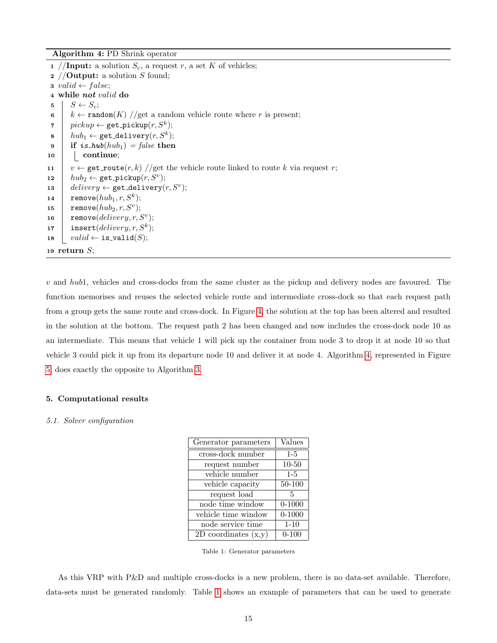Algorithm 4: PD Shrink operator

```
1 //Input: a solution S_c, a request r, a set K of vehicles;
 2 //Output: a solution S found;3 valid \leftarrow false;4 while not valid do
 5 \mid S \leftarrow S_c;
 6 k ← random(K) //get a random vehicle route where r is present;
 \tau \quad | \quad pickup \leftarrow \texttt{get\_pickup}(r, S^k);\texttt{s} \ \ \ \ \ \ \textit{hub}_1 \leftarrow \texttt{get\_delivery}(r, S^k);9 if is_hub(hub<sub>1</sub>) = false then
10 continue;
11 v \leftarrow get route (r, k) //get the vehicle route linked to route k via request r;
12 \left| \quad hub_2 \leftarrow \texttt{get\_pickup}(r, S^v);13 delivery \leftarrow get_delivery(r, S^v);
14 \vert remove(hub_1, r, S^k);15 \vert remove(hub_2, r, S^v);16 | remove(delivery, r, S^v);17 | insert(delivery, r, S^k);18 valid \leftarrow \texttt{is-validation}(S);19 return S;
```
<span id="page-16-1"></span>v and hub1, vehicles and cross-docks from the same cluster as the pickup and delivery nodes are favoured. The function memorises and reuses the selected vehicle route and intermediate cross-dock so that each request path from a group gets the same route and cross-dock. In Figure [4,](#page-15-1) the solution at the top has been altered and resulted in the solution at the bottom. The request path 2 has been changed and now includes the cross-dock node 10 as an intermediate. This means that vehicle 1 will pick up the container from node 3 to drop it at node 10 so that vehicle 3 could pick it up from its departure node 10 and deliver it at node 4. Algorithm [4,](#page-16-1) represented in Figure [5,](#page-15-2) does exactly the opposite to Algorithm [3.](#page-15-0)

## <span id="page-16-0"></span>5. Computational results

#### <span id="page-16-2"></span>5.1. Solver configuration

| Generator parameters   | Values     |
|------------------------|------------|
| cross-dock number      | $1-5$      |
| request number         | $10 - 50$  |
| vehicle number         | $1-5$      |
| vehicle capacity       | 50-100     |
| request load           | 5          |
| node time window       | $0 - 1000$ |
| vehicle time window    | $0 - 1000$ |
| node service time      | $1 - 10$   |
| 2D coordinates $(x,y)$ | $0 - 100$  |

Table 1: Generator parameters

As this VRP with P&D and multiple cross-docks is a new problem, there is no data-set available. Therefore, data-sets must be generated randomly. Table [1](#page-16-2) shows an example of parameters that can be used to generate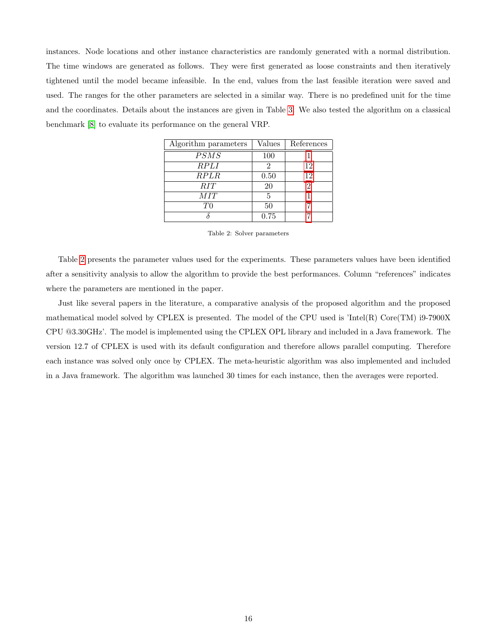<span id="page-17-0"></span>instances. Node locations and other instance characteristics are randomly generated with a normal distribution. The time windows are generated as follows. They were first generated as loose constraints and then iteratively tightened until the model became infeasible. In the end, values from the last feasible iteration were saved and used. The ranges for the other parameters are selected in a similar way. There is no predefined unit for the time and the coordinates. Details about the instances are given in Table [3.](#page-18-0) We also tested the algorithm on a classical benchmark [\[8\]](#page-23-3) to evaluate its performance on the general VRP.

| Algorithm parameters | Values | References |
|----------------------|--------|------------|
| PSMS                 | 100    |            |
| <b>RPLI</b>          | 2      | 12         |
| <i>RPLR</i>          | 0.50   | 12         |
| RIT                  | 20     | 2          |
| MIT                  | 5      |            |
| ΤO                   | 50     |            |
|                      | 0.75   |            |

Table 2: Solver parameters

Table [2](#page-17-0) presents the parameter values used for the experiments. These parameters values have been identified after a sensitivity analysis to allow the algorithm to provide the best performances. Column "references" indicates where the parameters are mentioned in the paper.

Just like several papers in the literature, a comparative analysis of the proposed algorithm and the proposed mathematical model solved by CPLEX is presented. The model of the CPU used is 'Intel(R) Core(TM) i9-7900X CPU @3.30GHz'. The model is implemented using the CPLEX OPL library and included in a Java framework. The version 12.7 of CPLEX is used with its default configuration and therefore allows parallel computing. Therefore each instance was solved only once by CPLEX. The meta-heuristic algorithm was also implemented and included in a Java framework. The algorithm was launched 30 times for each instance, then the averages were reported.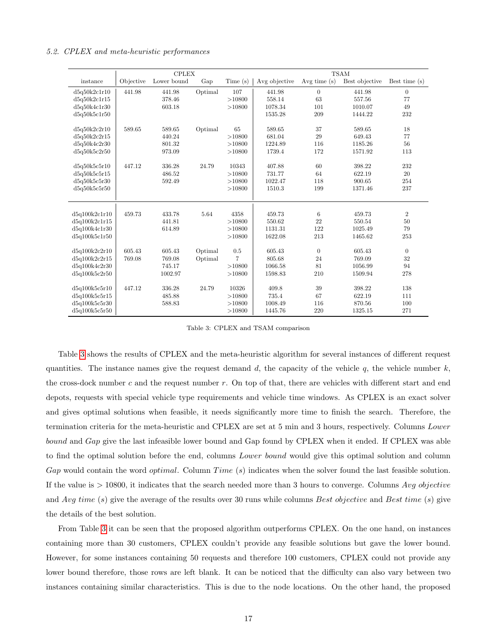|               |           | <b>CPLEX</b> |         |                |               |                | <b>TSAM</b>    |                 |
|---------------|-----------|--------------|---------|----------------|---------------|----------------|----------------|-----------------|
| instance      | Objective | Lower bound  | Gap     | Time(s)        | Avg objective | Avg time $(s)$ | Best objective | Best time $(s)$ |
| d5q50k2c1r10  | 441.98    | 441.98       | Optimal | 107            | 441.98        | $\theta$       | 441.98         | $\overline{0}$  |
| d5q50k2c1r15  |           | 378.46       |         | >10800         | 558.14        | 63             | 557.56         | 77              |
| d5q50k4c1r30  |           | 603.18       |         | >10800         | 1078.34       | 101            | 1010.07        | 49              |
| d5q50k5c1r50  |           |              |         |                | 1535.28       | 209            | 1444.22        | 232             |
| d5q50k2c2r10  | 589.65    | 589.65       | Optimal | 65             | 589.65        | 37             | 589.65         | 18              |
| d5q50k2c2r15  |           | 440.24       |         | >10800         | 681.04        | 29             | 649.43         | 77              |
| d5q50k4c2r30  |           | 801.32       |         | >10800         | 1224.89       | 116            | 1185.26        | 56              |
| d5q50k5c2r50  |           | 973.09       |         | >10800         | 1739.4        | 172            | 1571.92        | 113             |
| d5q50k5cfr10  | 447.12    | 336.28       | 24.79   | 10343          | 407.88        | 60             | 398.22         | 232             |
| d5q50k5c5r15  |           | 486.52       |         | >10800         | 731.77        | 64             | 622.19         | 20              |
| d5q50k5cfr30  |           | 592.49       |         | >10800         | 1022.47       | 118            | 900.65         | 254             |
| d5q50k5c5r50  |           |              |         | >10800         | 1510.3        | 199            | 1371.46        | 237             |
|               |           |              |         |                |               |                |                |                 |
| d5q100k2c1r10 | 459.73    | 433.78       | 5.64    | 4358           | 459.73        | 6              | 459.73         | $\sqrt{2}$      |
| d5q100k2c1r15 |           | 441.81       |         | >10800         | 550.62        | 22             | 550.54         | 50              |
| d5q100k4c1r30 |           | 614.89       |         | >10800         | 1131.31       | 122            | 1025.49        | 79              |
| d5q100k5c1r50 |           |              |         | >10800         | 1622.08       | 213            | 1465.62        | 253             |
| d5q100k2c2r10 | 605.43    | 605.43       | Optimal | 0.5            | 605.43        | $\overline{0}$ | 605.43         | $\overline{0}$  |
| d5q100k2c2r15 | 769.08    | 769.08       | Optimal | $\overline{7}$ | 805.68        | 24             | 769.09         | 32              |
| d5q100k4c2r30 |           | 745.17       |         | >10800         | 1066.58       | 81             | 1056.99        | 94              |
| d5q100k5c2r50 |           | 1002.97      |         | >10800         | 1598.83       | 210            | 1509.94        | 278             |
| d5q100k5c5r10 | 447.12    | 336.28       | 24.79   | 10326          | 409.8         | 39             | 398.22         | 138             |
| d5q100k5cfr15 |           | 485.88       |         | >10800         | 735.4         | 67             | 622.19         | 111             |
| d5q100k5c5r30 |           | 588.83       |         | >10800         | 1008.49       | 116            | 870.56         | 100             |
| d5q100k5c5r50 |           |              |         | >10800         | 1445.76       | 220            | 1325.15        | 271             |

## <span id="page-18-0"></span>5.2. CPLEX and meta-heuristic performances

Table 3: CPLEX and TSAM comparison

Table [3](#page-18-0) shows the results of CPLEX and the meta-heuristic algorithm for several instances of different request quantities. The instance names give the request demand d, the capacity of the vehicle q, the vehicle number  $k$ , the cross-dock number c and the request number  $r$ . On top of that, there are vehicles with different start and end depots, requests with special vehicle type requirements and vehicle time windows. As CPLEX is an exact solver and gives optimal solutions when feasible, it needs significantly more time to finish the search. Therefore, the termination criteria for the meta-heuristic and CPLEX are set at 5 min and 3 hours, respectively. Columns Lower bound and Gap give the last infeasible lower bound and Gap found by CPLEX when it ended. If CPLEX was able to find the optimal solution before the end, columns *Lower bound* would give this optimal solution and column Gap would contain the word *optimal*. Column  $Time(s)$  indicates when the solver found the last feasible solution. If the value is  $> 10800$ , it indicates that the search needed more than 3 hours to converge. Columns Avg objective and Avg time (s) give the average of the results over 30 runs while columns Best objective and Best time (s) give the details of the best solution.

From Table [3](#page-18-0) it can be seen that the proposed algorithm outperforms CPLEX. On the one hand, on instances containing more than 30 customers, CPLEX couldn't provide any feasible solutions but gave the lower bound. However, for some instances containing 50 requests and therefore 100 customers, CPLEX could not provide any lower bound therefore, those rows are left blank. It can be noticed that the difficulty can also vary between two instances containing similar characteristics. This is due to the node locations. On the other hand, the proposed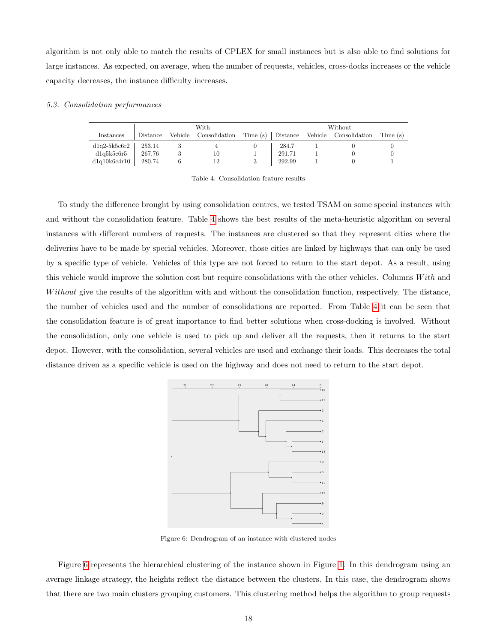algorithm is not only able to match the results of CPLEX for small instances but is also able to find solutions for large instances. As expected, on average, when the number of requests, vehicles, cross-docks increases or the vehicle capacity decreases, the instance difficulty increases.

## <span id="page-19-0"></span>5.3. Consolidation performances

|                |          | With                  |                   | Without |  |                       |          |  |
|----------------|----------|-----------------------|-------------------|---------|--|-----------------------|----------|--|
| Instances      | Distance | Vehicle Consolidation | Time (s) Distance |         |  | Vehicle Consolidation | Time (s) |  |
| $dlq2-5k5cfr2$ | 253.14   |                       |                   | 284.7   |  |                       |          |  |
| dlq5k5cfr5     | 267.76   | 10                    |                   | 291.71  |  |                       |          |  |
| dlq10k6c4r10   | 280.74   | 12                    |                   | 292.99  |  |                       |          |  |

Table 4: Consolidation feature results

To study the difference brought by using consolidation centres, we tested TSAM on some special instances with and without the consolidation feature. Table [4](#page-19-0) shows the best results of the meta-heuristic algorithm on several instances with different numbers of requests. The instances are clustered so that they represent cities where the deliveries have to be made by special vehicles. Moreover, those cities are linked by highways that can only be used by a specific type of vehicle. Vehicles of this type are not forced to return to the start depot. As a result, using this vehicle would improve the solution cost but require consolidations with the other vehicles. Columns  $With$  and Without give the results of the algorithm with and without the consolidation function, respectively. The distance, the number of vehicles used and the number of consolidations are reported. From Table [4](#page-19-0) it can be seen that the consolidation feature is of great importance to find better solutions when cross-docking is involved. Without the consolidation, only one vehicle is used to pick up and deliver all the requests, then it returns to the start depot. However, with the consolidation, several vehicles are used and exchange their loads. This decreases the total distance driven as a specific vehicle is used on the highway and does not need to return to the start depot.

<span id="page-19-1"></span>

Figure 6: Dendrogram of an instance with clustered nodes

Figure [6](#page-19-1) represents the hierarchical clustering of the instance shown in Figure [1.](#page-8-0) In this dendrogram using an average linkage strategy, the heights reflect the distance between the clusters. In this case, the dendrogram shows that there are two main clusters grouping customers. This clustering method helps the algorithm to group requests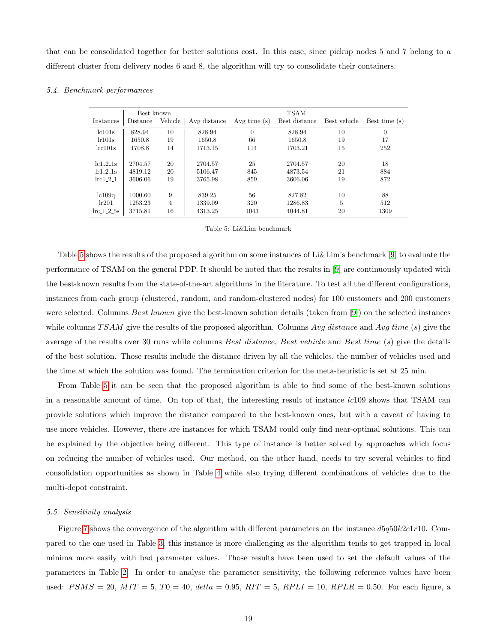that can be consolidated together for better solutions cost. In this case, since pickup nodes 5 and 7 belong to a different cluster from delivery nodes 6 and 8, the algorithm will try to consolidate their containers.

#### <span id="page-20-0"></span>5.4. Benchmark performances

|                      | Best known |         |              |                | <b>TSAM</b>   |              |               |
|----------------------|------------|---------|--------------|----------------|---------------|--------------|---------------|
| Instances            | Distance   | Vehicle | Avg distance | Avg time $(s)$ | Best distance | Best vehicle | Best time (s) |
| lc101s               | 828.94     | 10      | 828.94       | $\overline{0}$ | 828.94        | 10           | $\theta$      |
| lr101s               | 1650.8     | 19      | 1650.8       | 66             | 1650.8        | 19           | 17            |
| lrc101s              | 1708.8     | 14      | 1713.15      | 114            | 1703.21       | 15           | 252           |
|                      |            |         |              |                |               |              |               |
| $lc1_2_1$ s          | 2704.57    | 20      | 2704.57      | 25             | 2704.57       | 20           | 18            |
| lr1.2.1s             | 4819.12    | 20      | 5106.47      | 845            | 4873.54       | 21           | 884           |
| $lrc1_2_1$           | 3606.06    | 19      | 3765.98      | 859            | 3606.06       | 19           | 872           |
|                      |            |         |              |                |               |              |               |
| lc109q               | 1000.60    | 9       | 839.25       | 56             | 827.82        | 10           | 88            |
| lr201                | 1253.23    | 4       | 1339.09      | 320            | 1286.83       | 5            | 512           |
| $\text{lrc}_1 2.5$ s | 3715.81    | 16      | 4313.25      | 1043           | 4044.81       | 20           | 1309          |

|  |  |  | Table 5: Li&Lim benchmark |
|--|--|--|---------------------------|
|--|--|--|---------------------------|

Table [5](#page-20-0) shows the results of the proposed algorithm on some instances of Li&Lim's benchmark [\[9\]](#page-23-4) to evaluate the performance of TSAM on the general PDP. It should be noted that the results in [\[9\]](#page-23-4) are continuously updated with the best-known results from the state-of-the-art algorithms in the literature. To test all the different configurations, instances from each group (clustered, random, and random-clustered nodes) for 100 customers and 200 customers were selected. Columns Best known give the best-known solution details (taken from [\[9\]](#page-23-4)) on the selected instances while columns  $TSAM$  give the results of the proposed algorithm. Columns Avg distance and Avg time (s) give the average of the results over 30 runs while columns Best distance, Best vehicle and Best time (s) give the details of the best solution. Those results include the distance driven by all the vehicles, the number of vehicles used and the time at which the solution was found. The termination criterion for the meta-heuristic is set at 25 min.

From Table [5](#page-20-0) it can be seen that the proposed algorithm is able to find some of the best-known solutions in a reasonable amount of time. On top of that, the interesting result of instance  $lcl09$  shows that TSAM can provide solutions which improve the distance compared to the best-known ones, but with a caveat of having to use more vehicles. However, there are instances for which TSAM could only find near-optimal solutions. This can be explained by the objective being different. This type of instance is better solved by approaches which focus on reducing the number of vehicles used. Our method, on the other hand, needs to try several vehicles to find consolidation opportunities as shown in Table [4](#page-19-0) while also trying different combinations of vehicles due to the multi-depot constraint.

#### 5.5. Sensitivity analysis

Figure [7](#page-21-0) shows the convergence of the algorithm with different parameters on the instance  $d5q50k2c1r10$ . Compared to the one used in Table [3,](#page-18-0) this instance is more challenging as the algorithm tends to get trapped in local minima more easily with bad parameter values. Those results have been used to set the default values of the parameters in Table [2.](#page-17-0) In order to analyse the parameter sensitivity, the following reference values have been used:  $PSMS = 20$ ,  $MIT = 5$ ,  $T0 = 40$ ,  $delta = 0.95$ ,  $RIT = 5$ ,  $RPLI = 10$ ,  $RPLR = 0.50$ . For each figure, a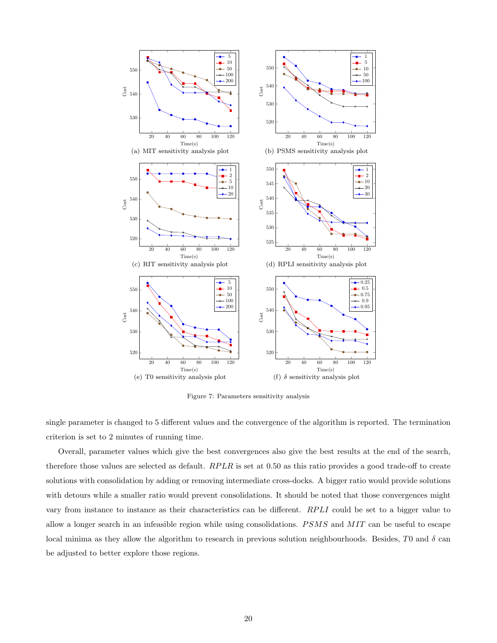<span id="page-21-0"></span>

Figure 7: Parameters sensitivity analysis

single parameter is changed to 5 different values and the convergence of the algorithm is reported. The termination criterion is set to 2 minutes of running time.

Overall, parameter values which give the best convergences also give the best results at the end of the search, therefore those values are selected as default.  $RPLR$  is set at 0.50 as this ratio provides a good trade-off to create solutions with consolidation by adding or removing intermediate cross-docks. A bigger ratio would provide solutions with detours while a smaller ratio would prevent consolidations. It should be noted that those convergences might vary from instance to instance as their characteristics can be different. RPLI could be set to a bigger value to allow a longer search in an infeasible region while using consolidations.  $PSMS$  and  $MIT$  can be useful to escape local minima as they allow the algorithm to research in previous solution neighbourhoods. Besides, T0 and  $\delta$  can be adjusted to better explore those regions.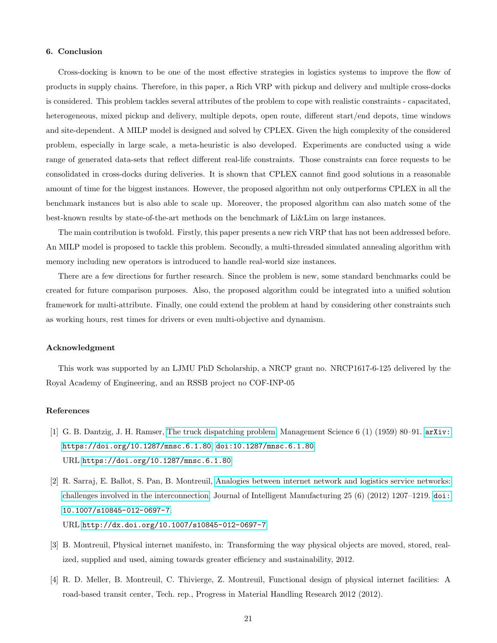## <span id="page-22-4"></span>6. Conclusion

Cross-docking is known to be one of the most effective strategies in logistics systems to improve the flow of products in supply chains. Therefore, in this paper, a Rich VRP with pickup and delivery and multiple cross-docks is considered. This problem tackles several attributes of the problem to cope with realistic constraints - capacitated, heterogeneous, mixed pickup and delivery, multiple depots, open route, different start/end depots, time windows and site-dependent. A MILP model is designed and solved by CPLEX. Given the high complexity of the considered problem, especially in large scale, a meta-heuristic is also developed. Experiments are conducted using a wide range of generated data-sets that reflect different real-life constraints. Those constraints can force requests to be consolidated in cross-docks during deliveries. It is shown that CPLEX cannot find good solutions in a reasonable amount of time for the biggest instances. However, the proposed algorithm not only outperforms CPLEX in all the benchmark instances but is also able to scale up. Moreover, the proposed algorithm can also match some of the best-known results by state-of-the-art methods on the benchmark of Li&Lim on large instances.

The main contribution is twofold. Firstly, this paper presents a new rich VRP that has not been addressed before. An MILP model is proposed to tackle this problem. Secondly, a multi-threaded simulated annealing algorithm with memory including new operators is introduced to handle real-world size instances.

There are a few directions for further research. Since the problem is new, some standard benchmarks could be created for future comparison purposes. Also, the proposed algorithm could be integrated into a unified solution framework for multi-attribute. Finally, one could extend the problem at hand by considering other constraints such as working hours, rest times for drivers or even multi-objective and dynamism.

## Acknowledgment

This work was supported by an LJMU PhD Scholarship, a NRCP grant no. NRCP1617-6-125 delivered by the Royal Academy of Engineering, and an RSSB project no COF-INP-05

## References

- <span id="page-22-0"></span>[1] G. B. Dantzig, J. H. Ramser, [The truck dispatching problem,](https://doi.org/10.1287/mnsc.6.1.80) Management Science 6 (1) (1959) 80–91. [arXiv:](http://arxiv.org/abs/https://doi.org/10.1287/mnsc.6.1.80) [https://doi.org/10.1287/mnsc.6.1.80](http://arxiv.org/abs/https://doi.org/10.1287/mnsc.6.1.80), [doi:10.1287/mnsc.6.1.80](https://doi.org/10.1287/mnsc.6.1.80). URL <https://doi.org/10.1287/mnsc.6.1.80>
- <span id="page-22-1"></span>[2] R. Sarraj, E. Ballot, S. Pan, B. Montreuil, [Analogies between internet network and logistics service networks:](http://dx.doi.org/10.1007/s10845-012-0697-7) [challenges involved in the interconnection,](http://dx.doi.org/10.1007/s10845-012-0697-7) Journal of Intelligent Manufacturing 25 (6) (2012) 1207–1219. [doi:](https://doi.org/10.1007/s10845-012-0697-7) [10.1007/s10845-012-0697-7](https://doi.org/10.1007/s10845-012-0697-7). URL <http://dx.doi.org/10.1007/s10845-012-0697-7>

<span id="page-22-2"></span>[3] B. Montreuil, Physical internet manifesto, in: Transforming the way physical objects are moved, stored, real-

ized, supplied and used, aiming towards greater efficiency and sustainability, 2012.

<span id="page-22-3"></span>[4] R. D. Meller, B. Montreuil, C. Thivierge, Z. Montreuil, Functional design of physical internet facilities: A road-based transit center, Tech. rep., Progress in Material Handling Research 2012 (2012).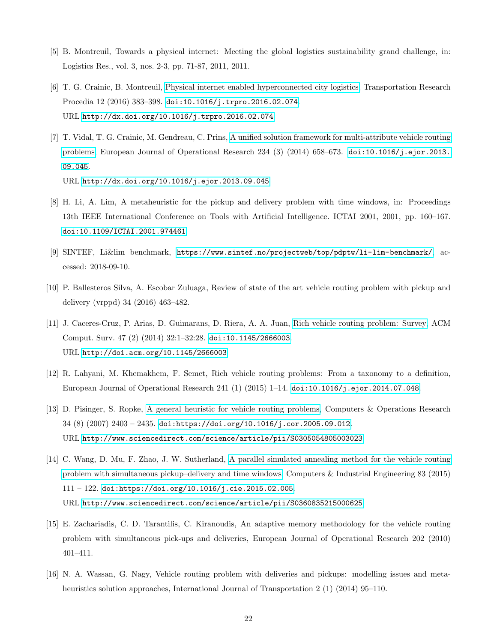- <span id="page-23-0"></span>[5] B. Montreuil, Towards a physical internet: Meeting the global logistics sustainability grand challenge, in: Logistics Res., vol. 3, nos. 2-3, pp. 71-87, 2011, 2011.
- <span id="page-23-1"></span>[6] T. G. Crainic, B. Montreuil, [Physical internet enabled hyperconnected city logistics,](http://dx.doi.org/10.1016/j.trpro.2016.02.074) Transportation Research Procedia 12 (2016) 383–398. [doi:10.1016/j.trpro.2016.02.074](https://doi.org/10.1016/j.trpro.2016.02.074). URL <http://dx.doi.org/10.1016/j.trpro.2016.02.074>
- <span id="page-23-2"></span>[7] T. Vidal, T. G. Crainic, M. Gendreau, C. Prins, [A unified solution framework for multi-attribute vehicle routing](http://dx.doi.org/10.1016/j.ejor.2013.09.045) [problems,](http://dx.doi.org/10.1016/j.ejor.2013.09.045) European Journal of Operational Research 234 (3) (2014) 658–673. [doi:10.1016/j.ejor.2013.](https://doi.org/10.1016/j.ejor.2013.09.045) [09.045](https://doi.org/10.1016/j.ejor.2013.09.045). URL <http://dx.doi.org/10.1016/j.ejor.2013.09.045>
- <span id="page-23-3"></span>[8] H. Li, A. Lim, A metaheuristic for the pickup and delivery problem with time windows, in: Proceedings 13th IEEE International Conference on Tools with Artificial Intelligence. ICTAI 2001, 2001, pp. 160–167. [doi:10.1109/ICTAI.2001.974461](https://doi.org/10.1109/ICTAI.2001.974461).
- <span id="page-23-4"></span>[9] SINTEF, Li&lim benchmark, <https://www.sintef.no/projectweb/top/pdptw/li-lim-benchmark/>, accessed: 2018-09-10.
- <span id="page-23-5"></span>[10] P. Ballesteros Silva, A. Escobar Zuluaga, Review of state of the art vehicle routing problem with pickup and delivery (vrppd) 34 (2016) 463–482.
- <span id="page-23-6"></span>[11] J. Caceres-Cruz, P. Arias, D. Guimarans, D. Riera, A. A. Juan, [Rich vehicle routing problem: Survey,](http://doi.acm.org/10.1145/2666003) ACM Comput. Surv. 47 (2) (2014) 32:1–32:28. [doi:10.1145/2666003](https://doi.org/10.1145/2666003). URL <http://doi.acm.org/10.1145/2666003>
- <span id="page-23-7"></span>[12] R. Lahyani, M. Khemakhem, F. Semet, Rich vehicle routing problems: From a taxonomy to a definition, European Journal of Operational Research 241 (1) (2015) 1–14. [doi:10.1016/j.ejor.2014.07.048](https://doi.org/10.1016/j.ejor.2014.07.048).
- <span id="page-23-8"></span>[13] D. Pisinger, S. Ropke, [A general heuristic for vehicle routing problems,](http://www.sciencedirect.com/science/article/pii/S0305054805003023) Computers & Operations Research 34 (8) (2007) 2403 – 2435. [doi:https://doi.org/10.1016/j.cor.2005.09.012](https://doi.org/https://doi.org/10.1016/j.cor.2005.09.012). URL <http://www.sciencedirect.com/science/article/pii/S0305054805003023>
- <span id="page-23-9"></span>[14] C. Wang, D. Mu, F. Zhao, J. W. Sutherland, [A parallel simulated annealing method for the vehicle routing](http://www.sciencedirect.com/science/article/pii/S0360835215000625) [problem with simultaneous pickup–delivery and time windows,](http://www.sciencedirect.com/science/article/pii/S0360835215000625) Computers & Industrial Engineering 83 (2015) 111 – 122. [doi:https://doi.org/10.1016/j.cie.2015.02.005](https://doi.org/https://doi.org/10.1016/j.cie.2015.02.005). URL <http://www.sciencedirect.com/science/article/pii/S0360835215000625>
- <span id="page-23-10"></span>[15] E. Zachariadis, C. D. Tarantilis, C. Kiranoudis, An adaptive memory methodology for the vehicle routing problem with simultaneous pick-ups and deliveries, European Journal of Operational Research 202 (2010) 401–411.
- <span id="page-23-11"></span>[16] N. A. Wassan, G. Nagy, Vehicle routing problem with deliveries and pickups: modelling issues and metaheuristics solution approaches, International Journal of Transportation 2 (1) (2014) 95–110.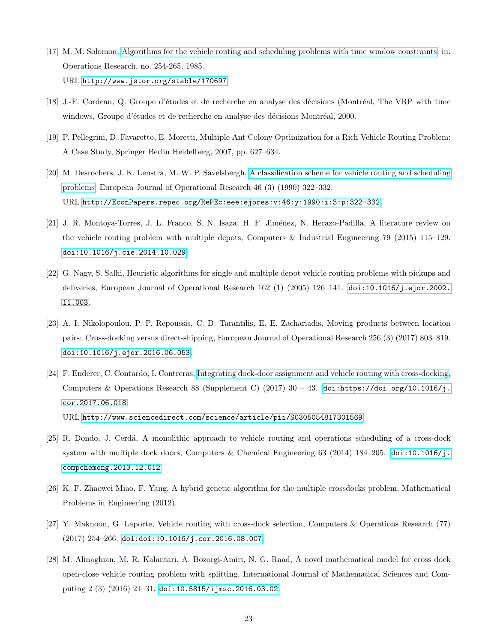- <span id="page-24-0"></span>[17] M. M. Solomon, [Algorithms for the vehicle routing and scheduling problems with time window constraints,](http://www.jstor.org/stable/170697) in: Operations Research, no. 254-265, 1985. URL <http://www.jstor.org/stable/170697>
- <span id="page-24-1"></span>[18] J.-F. Cordeau, Q. Groupe d'études et de recherche en analyse des décisions (Montréal, The VRP with time windows, Groupe d'études et de recherche en analyse des décisions Montréal, 2000.
- <span id="page-24-2"></span>[19] P. Pellegrini, D. Favaretto, E. Moretti, Multiple Ant Colony Optimization for a Rich Vehicle Routing Problem: A Case Study, Springer Berlin Heidelberg, 2007, pp. 627–634.
- <span id="page-24-3"></span>[20] M. Desrochers, J. K. Lenstra, M. W. P. Savelsbergh, [A classification scheme for vehicle routing and scheduling](http://EconPapers.repec.org/RePEc:eee:ejores:v:46:y:1990:i:3:p:322-332) [problems,](http://EconPapers.repec.org/RePEc:eee:ejores:v:46:y:1990:i:3:p:322-332) European Journal of Operational Research 46 (3) (1990) 322–332. URL <http://EconPapers.repec.org/RePEc:eee:ejores:v:46:y:1990:i:3:p:322-332>
- <span id="page-24-4"></span>[21] J. R. Montoya-Torres, J. L. Franco, S. N. Isaza, H. F. Jiménez, N. Herazo-Padilla, A literature review on the vehicle routing problem with multiple depots, Computers & Industrial Engineering 79 (2015) 115–129. [doi:10.1016/j.cie.2014.10.029](https://doi.org/10.1016/j.cie.2014.10.029).
- <span id="page-24-5"></span>[22] G. Nagy, S. Salhi, Heuristic algorithms for single and multiple depot vehicle routing problems with pickups and deliveries, European Journal of Operational Research 162 (1) (2005) 126–141. [doi:10.1016/j.ejor.2002.](https://doi.org/10.1016/j.ejor.2002.11.003) [11.003](https://doi.org/10.1016/j.ejor.2002.11.003).
- <span id="page-24-6"></span>[23] A. I. Nikolopoulou, P. P. Repoussis, C. D. Tarantilis, E. E. Zachariadis, Moving products between location pairs: Cross-docking versus direct-shipping, European Journal of Operational Research 256 (3) (2017) 803–819. [doi:10.1016/j.ejor.2016.06.053](https://doi.org/10.1016/j.ejor.2016.06.053).
- <span id="page-24-7"></span>[24] F. Enderer, C. Contardo, I. Contreras, [Integrating dock-door assignment and vehicle routing with cross-docking,](http://www.sciencedirect.com/science/article/pii/S0305054817301569) Computers & Operations Research 88 (Supplement C) (2017)  $30 - 43$ . [doi:https://doi.org/10.1016/j.](https://doi.org/https://doi.org/10.1016/j.cor.2017.06.018) [cor.2017.06.018](https://doi.org/https://doi.org/10.1016/j.cor.2017.06.018). URL <http://www.sciencedirect.com/science/article/pii/S0305054817301569>
- <span id="page-24-8"></span>[25] R. Dondo, J. Cerdá, A monolithic approach to vehicle routing and operations scheduling of a cross-dock system with multiple dock doors, Computers & Chemical Engineering 63 (2014) 184–205. [doi:10.1016/j.](https://doi.org/10.1016/j.compchemeng.2013.12.012) [compchemeng.2013.12.012](https://doi.org/10.1016/j.compchemeng.2013.12.012).
- <span id="page-24-9"></span>[26] K. F. Zhaowei Miao, F. Yang, A hybrid genetic algorithm for the multiple crossdocks problem, Mathematical Problems in Engineering (2012).
- <span id="page-24-10"></span>[27] Y. Maknoon, G. Laporte, Vehicle routing with cross-dock selection, Computers & Operations Research (77)  $(2017)$  254-266. [doi:doi:10.1016/j.cor.2016.08.007](https://doi.org/doi:10.1016/j.cor.2016.08.007).
- <span id="page-24-11"></span>[28] M. Alinaghian, M. R. Kalantari, A. Bozorgi-Amiri, N. G. Raad, A novel mathematical model for cross dock open-close vehicle routing problem with splitting, International Journal of Mathematical Sciences and Computing 2 (3) (2016) 21–31. [doi:10.5815/ijmsc.2016.03.02](https://doi.org/10.5815/ijmsc.2016.03.02).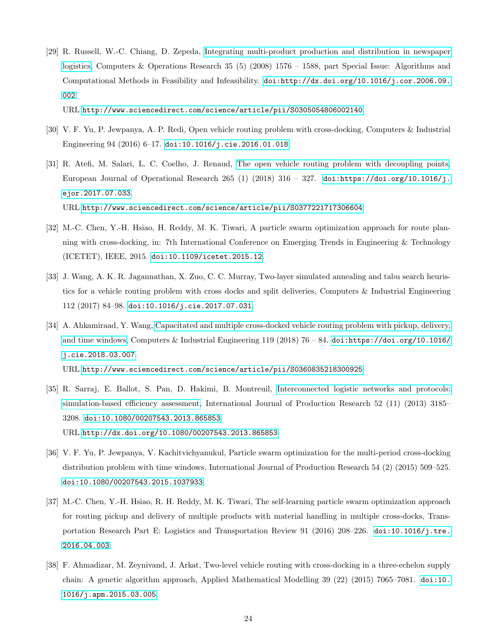<span id="page-25-0"></span>[29] R. Russell, W.-C. Chiang, D. Zepeda, [Integrating multi-product production and distribution in newspaper](http://www.sciencedirect.com/science/article/pii/S0305054806002140) [logistics,](http://www.sciencedirect.com/science/article/pii/S0305054806002140) Computers & Operations Research 35 (5) (2008) 1576 – 1588, part Special Issue: Algorithms and Computational Methods in Feasibility and Infeasibility. [doi:http://dx.doi.org/10.1016/j.cor.2006.09.](https://doi.org/http://dx.doi.org/10.1016/j.cor.2006.09.002) [002](https://doi.org/http://dx.doi.org/10.1016/j.cor.2006.09.002).

URL <http://www.sciencedirect.com/science/article/pii/S0305054806002140>

- <span id="page-25-1"></span>[30] V. F. Yu, P. Jewpanya, A. P. Redi, Open vehicle routing problem with cross-docking, Computers & Industrial Engineering 94 (2016) 6–17. [doi:10.1016/j.cie.2016.01.018](https://doi.org/10.1016/j.cie.2016.01.018).
- <span id="page-25-2"></span>[31] R. Atefi, M. Salari, L. C. Coelho, J. Renaud, [The open vehicle routing problem with decoupling points,](http://www.sciencedirect.com/science/article/pii/S0377221717306604) European Journal of Operational Research 265 (1) (2018) 316 – 327. [doi:https://doi.org/10.1016/j.](https://doi.org/https://doi.org/10.1016/j.ejor.2017.07.033) [ejor.2017.07.033](https://doi.org/https://doi.org/10.1016/j.ejor.2017.07.033). URL <http://www.sciencedirect.com/science/article/pii/S0377221717306604>
- <span id="page-25-3"></span>[32] M.-C. Chen, Y.-H. Hsiao, H. Reddy, M. K. Tiwari, A particle swarm optimization approach for route planning with cross-docking, in: 7th International Conference on Emerging Trends in Engineering & Technology (ICETET), IEEE, 2015. [doi:10.1109/icetet.2015.12](https://doi.org/10.1109/icetet.2015.12).
- <span id="page-25-4"></span>[33] J. Wang, A. K. R. Jagannathan, X. Zuo, C. C. Murray, Two-layer simulated annealing and tabu search heuristics for a vehicle routing problem with cross docks and split deliveries, Computers & Industrial Engineering 112 (2017) 84–98. [doi:10.1016/j.cie.2017.07.031](https://doi.org/10.1016/j.cie.2017.07.031).
- <span id="page-25-5"></span>[34] A. Ahkamiraad, Y. Wang, [Capacitated and multiple cross-docked vehicle routing problem with pickup, delivery,](http://www.sciencedirect.com/science/article/pii/S0360835218300925) [and time windows,](http://www.sciencedirect.com/science/article/pii/S0360835218300925) Computers & Industrial Engineering 119 (2018) 76 – 84. [doi:https://doi.org/10.1016/](https://doi.org/https://doi.org/10.1016/j.cie.2018.03.007) [j.cie.2018.03.007](https://doi.org/https://doi.org/10.1016/j.cie.2018.03.007).

URL <http://www.sciencedirect.com/science/article/pii/S0360835218300925>

- <span id="page-25-6"></span>[35] R. Sarraj, E. Ballot, S. Pan, D. Hakimi, B. Montreuil, [Interconnected logistic networks and protocols:](http://dx.doi.org/10.1080/00207543.2013.865853) [simulation-based efficiency assessment,](http://dx.doi.org/10.1080/00207543.2013.865853) International Journal of Production Research 52 (11) (2013) 3185– 3208. [doi:10.1080/00207543.2013.865853](https://doi.org/10.1080/00207543.2013.865853). URL <http://dx.doi.org/10.1080/00207543.2013.865853>
- <span id="page-25-7"></span>[36] V. F. Yu, P. Jewpanya, V. Kachitvichyanukul, Particle swarm optimization for the multi-period cross-docking distribution problem with time windows, International Journal of Production Research 54 (2) (2015) 509–525. [doi:10.1080/00207543.2015.1037933](https://doi.org/10.1080/00207543.2015.1037933).
- <span id="page-25-8"></span>[37] M.-C. Chen, Y.-H. Hsiao, R. H. Reddy, M. K. Tiwari, The self-learning particle swarm optimization approach for routing pickup and delivery of multiple products with material handling in multiple cross-docks, Transportation Research Part E: Logistics and Transportation Review 91 (2016) 208–226. [doi:10.1016/j.tre.](https://doi.org/10.1016/j.tre.2016.04.003) [2016.04.003](https://doi.org/10.1016/j.tre.2016.04.003).
- <span id="page-25-9"></span>[38] F. Ahmadizar, M. Zeynivand, J. Arkat, Two-level vehicle routing with cross-docking in a three-echelon supply chain: A genetic algorithm approach, Applied Mathematical Modelling 39 (22) (2015) 7065–7081. [doi:10.](https://doi.org/10.1016/j.apm.2015.03.005) [1016/j.apm.2015.03.005](https://doi.org/10.1016/j.apm.2015.03.005).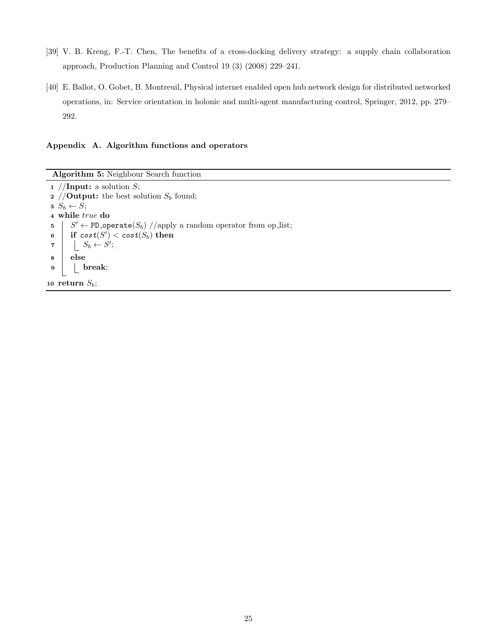- <span id="page-26-0"></span>[39] V. B. Kreng, F.-T. Chen, The benefits of a cross-docking delivery strategy: a supply chain collaboration approach, Production Planning and Control 19 (3) (2008) 229–241.
- <span id="page-26-1"></span>[40] E. Ballot, O. Gobet, B. Montreuil, Physical internet enabled open hub network design for distributed networked operations, in: Service orientation in holonic and multi-agent manufacturing control, Springer, 2012, pp. 279– 292.

## Appendix A. Algorithm functions and operators

Algorithm 5: Neighbour Search function

<span id="page-26-2"></span>1 //Input: a solution  $S$ ; 2 //**Output:** the best solution  $S_b$  found;  $s \ S_b \leftarrow S;$ 4 while true do 5  $\mid S' \leftarrow \texttt{PD\_operate}(S_b) // apply a random operator from op\_list;$  $\begin{array}{|c|c|c|}\ \textbf{\textit{6}} & \textbf{\textit{if }} \textit{cost}(S^{\prime}) < \textit{cost}(S_b) \textbf{\textit{then}}\ \end{array}$  $7 \quad | \quad | \quad S_b \leftarrow S';$ 8 else 9 break; 10 return  $S_b$ ;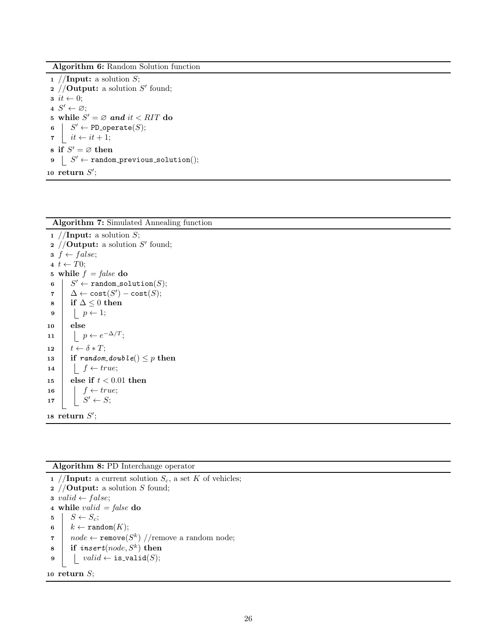Algorithm 6: Random Solution function

1 //Input: a solution  $S$ ; 2 //**Output:** a solution  $S'$  found;  $\mathbf{3}$  it  $\leftarrow 0$ ;  $4 S' \leftarrow \varnothing;$ 5 while  $S' = \emptyset$  and  $it < RIT$  do  $6 \mid S' \leftarrow \texttt{PD\_operate}(S);$  $\tau \mid it \leftarrow it + 1;$ 8 if  $S' = \varnothing$  then  $9 \mid S' \leftarrow \texttt{random\_previous\_solution}();$ 10 return  $S'$ ;

<span id="page-27-1"></span>Algorithm 7: Simulated Annealing function 1 //Input: a solution  $S$ ; 2 //**Output:** a solution  $S'$  found;  $\mathbf{s} \; f \leftarrow false;$ 4  $t \leftarrow T0$ ; 5 while  $f = false$  do  $\mathfrak{g} \ \ | \ \ S' \leftarrow \mathtt{random\_solution}(S);$  $\begin{array}{ccc} \texttt{7} & \Delta \leftarrow \texttt{cost}(S') - \texttt{cost}(S); \end{array}$ 8 | if ∆  $≤ 0$  then  $9 \mid p \leftarrow 1;$  $10$  else 11  $\vert \quad \vert \quad p \leftarrow e^{-\Delta/T}$ ; 12  $t \leftarrow \delta * T;$ 13 if random\_double()  $\leq p$  then 14 |  $f \leftarrow true;$ 15 else if  $t < 0.01$  then 16  $\vert$  f  $\leftarrow true$ ;  $17$  $S' \leftarrow S;$ 18 return  $S'$ ;

<span id="page-27-2"></span><span id="page-27-0"></span>Algorithm 8: PD Interchange operator 1 //Input: a current solution  $S_c$ , a set K of vehicles; 2 //**Output:** a solution S found; 3 valid  $\leftarrow false;$ 4 while *valid* =  $false$  do  $5 \mid S \leftarrow S_c;$ 6  $k \leftarrow \text{random}(K);$ 7 |  $node \leftarrow \texttt{remove}(S^k) //$ remove a random node;  $s$  if insert(node,  $S^k$ ) then 9  $\vert$   $valid \leftarrow$  is\_valid(S); 10 return  $S$ ;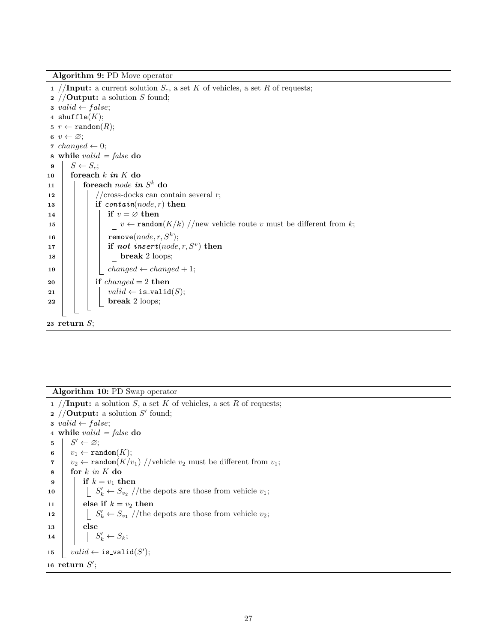Algorithm 9: PD Move operator

1 /**Input:** a current solution  $S_c$ , a set K of vehicles, a set R of requests; 2 //**Output:** a solution S found; 3 valid  $\leftarrow false;$ 4  $\texttt{shuffle}(K);$ 5  $r \leftarrow \texttt{random}(R);$ 6  $v \leftarrow \varnothing$ ; 7 changed  $\leftarrow 0$ ; 8 while *valid* =  $false$  do  $9 \mid S \leftarrow S_c;$ 10 for each  $k$  in  $K$  do  $\begin{array}{c|c} \hline \end{array}$  in  $S^k$  do  $\begin{array}{c} \hline \end{array}$  for each node in  $S^k$  do  $12$  //cross-docks can contain several r; 13 if  $\text{contain}(node, r)$  then 14 | | | if  $v = \emptyset$  then 15  $\vert \vert \vert \vert \vert \vert \vert v \leftarrow \text{random}(K/k) / \text{new}$  vehicle route v must be different from k; 16 | | | remove $(node, r, S^k);$ 17 | | | if not insert $(node, r, S^v)$  then  $18$  | | | break 2 loops; 19 | | changed  $\leftarrow$  changed + 1; 20 if  $changed = 2$  then 21 | |  $valid \leftarrow$  is\_valid(S);  $22 \mid \cdot \cdot \cdot \cdot \cdot \cdot$  break 2 loops; 23 return  $S$ ;

<span id="page-28-1"></span>Algorithm 10: PD Swap operator

<span id="page-28-0"></span>1 //Input: a solution S, a set K of vehicles, a set R of requests; 2 //**Output:** a solution  $S'$  found; 3 valid  $\leftarrow false;$ 4 while *valid* =  $false$  do  $5 \mid S' \leftarrow \varnothing;$ 6  $v_1 \leftarrow \texttt{random}(K);$  $\tau \mid v_2 \leftarrow \texttt{random}(K/v_1)$  //vehicle  $v_2$  must be different from  $v_1$ ;  $\mathbf{s}$  | for k in K do  $9 \mid \cdot \text{if } k = v_1 \text{ then}$ 10  $\Big|\Big|$   $\Big|$   $S'_k \leftarrow S_{v_2}$  //the depots are those from vehicle  $v_1$ ; 11 | else if  $k = v_2$  then 12  $\Big|\Big|$   $\Big|$   $S'_k \leftarrow S_{v_1}$  //the depots are those from vehicle  $v_2$ ;  $13$  else 14  $\Big| \Big| \Big| S'_k \leftarrow S_k;$ 15  $valid \leftarrow \texttt{is-validation}(S');$ 16 return  $S'$ ;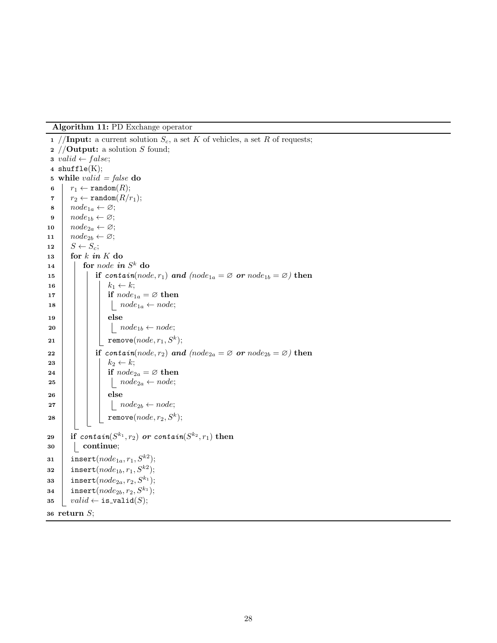Algorithm 11: PD Exchange operator

```
1 //Input: a current solution S_c, a set K of vehicles, a set R of requests;
 2 //Output: a solution S found;
 3 valid \leftarrow false;4 shuffle(K);5 while valid = false do
 6 r_1 \leftarrow \texttt{random}(R);\tau \mid r_2 \leftarrow \texttt{random}(R/r_1);\mathbf{s} \mid node_{1a} \leftarrow \varnothing;\mathbf{9} | node_{1b} \leftarrow \varnothing;10 \vert node_{2a} \leftarrow \varnothing;11 node_{2b} \leftarrow \varnothing;12 S \leftarrow S_c;
13 for k in K do
\begin{array}{c|c} \textbf{14} & \textbf{for} \ node \ \textbf{in} \ S^k \ \textbf{do} \end{array}15 if contain(node, r_1) and (node<sub>1a</sub> = \emptyset or node<sub>1b</sub> = \emptyset) then
16 | | k_1 \leftarrow k;17 if node_{1a} = \emptyset then
18 | | | | node_{1a} \leftarrow node;_{19} else
20 | | | | node_{1b} \leftarrow node;\begin{array}{|c|c|c|}\hline \texttt{21} & & \texttt{\ \end{array}}{\Big|}\quad\quad \texttt{remove}(node, r_1, S^k);22 if contain(node, r_2) and (node<sub>2a</sub> = \varnothing or node<sub>2b</sub> = \varnothing) then
23 | | k_2 \leftarrow k;24 | | | if node_{2a} = \emptyset then
25 | | | | node_{2a} \leftarrow node;26 else
27 \mid \cdot \mid \cdot \mid node_{2b} \leftarrow node;28 | | | | remove(node, r_2, S^k);29 if \mathit{contain}(S^{k_1}, r_2) or \mathit{contain}(S^{k_2}, r_1) then
30 | continue;
\texttt{31} \quad \text{insert}(node_{1a}, r_1, S^{k2});\texttt{as2} \quad \text{insert}(node_{1b}, r_1, S^{k2});33 insert(node_{2a}, r_2, S^{k_1});34 insert(node<sub>2b</sub>, r_2, S^{k_1});
35 valid \leftarrow \texttt{is-validation}(S);36 return S;
```